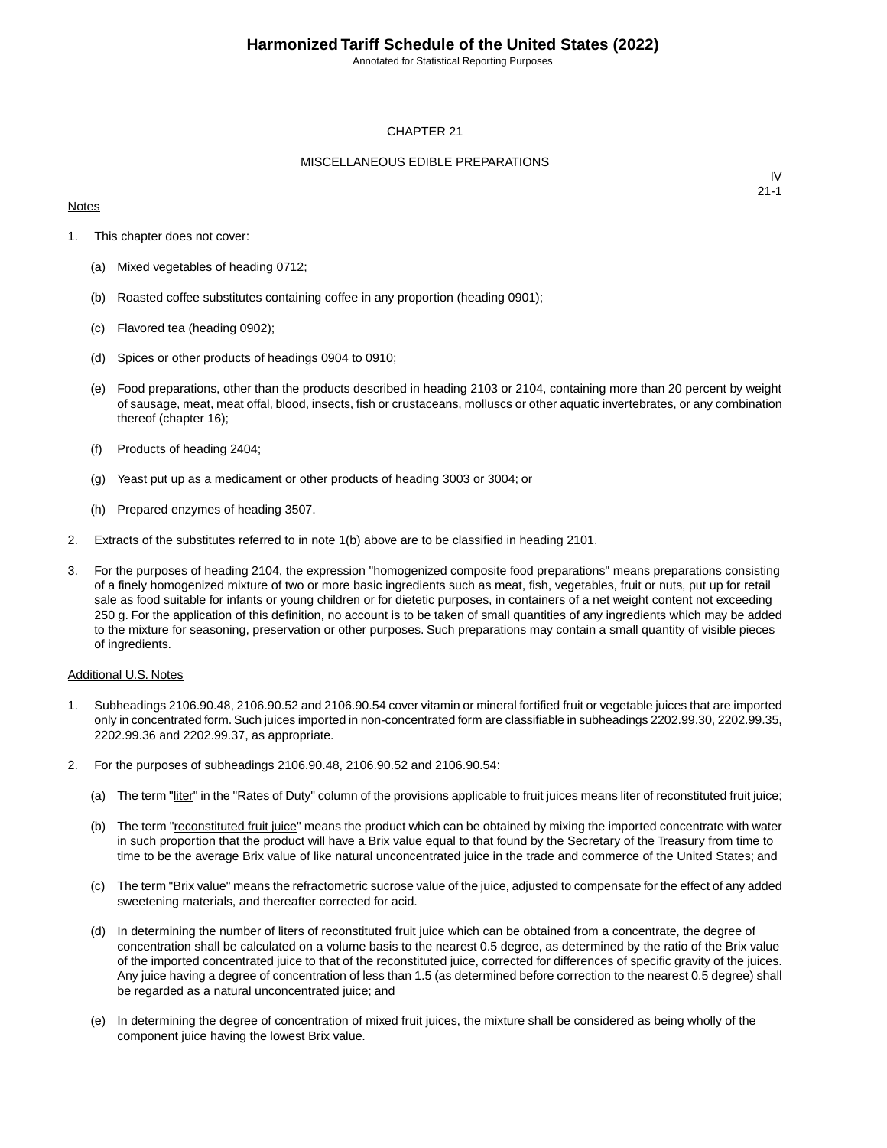Annotated for Statistical Reporting Purposes

#### CHAPTER 21

#### MISCELLANEOUS EDIBLE PREPARATIONS

#### **Notes**

IV 21-1

- 1. This chapter does not cover:
	- (a) Mixed vegetables of heading 0712;
	- (b) Roasted coffee substitutes containing coffee in any proportion (heading 0901);
	- (c) Flavored tea (heading 0902);
	- (d) Spices or other products of headings 0904 to 0910;
	- (e) Food preparations, other than the products described in heading 2103 or 2104, containing more than 20 percent by weight of sausage, meat, meat offal, blood, insects, fish or crustaceans, molluscs or other aquatic invertebrates, or any combination thereof (chapter 16);
	- (f) Products of heading 2404;
	- (g) Yeast put up as a medicament or other products of heading 3003 or 3004; or
	- (h) Prepared enzymes of heading 3507.
- 2. Extracts of the substitutes referred to in note 1(b) above are to be classified in heading 2101.
- 3. For the purposes of heading 2104, the expression "homogenized composite food preparations" means preparations consisting of a finely homogenized mixture of two or more basic ingredients such as meat, fish, vegetables, fruit or nuts, put up for retail sale as food suitable for infants or young children or for dietetic purposes, in containers of a net weight content not exceeding 250 g. For the application of this definition, no account is to be taken of small quantities of any ingredients which may be added to the mixture for seasoning, preservation or other purposes. Such preparations may contain a small quantity of visible pieces of ingredients.

#### Additional U.S. Notes

- 1. Subheadings 2106.90.48, 2106.90.52 and 2106.90.54 cover vitamin or mineral fortified fruit or vegetable juices that are imported only in concentrated form. Such juices imported in non-concentrated form are classifiable in subheadings 2202.99.30, 2202.99.35, 2202.99.36 and 2202.99.37, as appropriate.
- 2. For the purposes of subheadings 2106.90.48, 2106.90.52 and 2106.90.54:
	- (a) The term "liter" in the "Rates of Duty" column of the provisions applicable to fruit juices means liter of reconstituted fruit juice;
	- (b) The term "reconstituted fruit juice" means the product which can be obtained by mixing the imported concentrate with water in such proportion that the product will have a Brix value equal to that found by the Secretary of the Treasury from time to time to be the average Brix value of like natural unconcentrated juice in the trade and commerce of the United States; and
	- (c) The term "Brix value" means the refractometric sucrose value of the juice, adjusted to compensate for the effect of any added sweetening materials, and thereafter corrected for acid.
	- (d) In determining the number of liters of reconstituted fruit juice which can be obtained from a concentrate, the degree of concentration shall be calculated on a volume basis to the nearest 0.5 degree, as determined by the ratio of the Brix value of the imported concentrated juice to that of the reconstituted juice, corrected for differences of specific gravity of the juices. Any juice having a degree of concentration of less than 1.5 (as determined before correction to the nearest 0.5 degree) shall be regarded as a natural unconcentrated juice; and
	- (e) In determining the degree of concentration of mixed fruit juices, the mixture shall be considered as being wholly of the component juice having the lowest Brix value.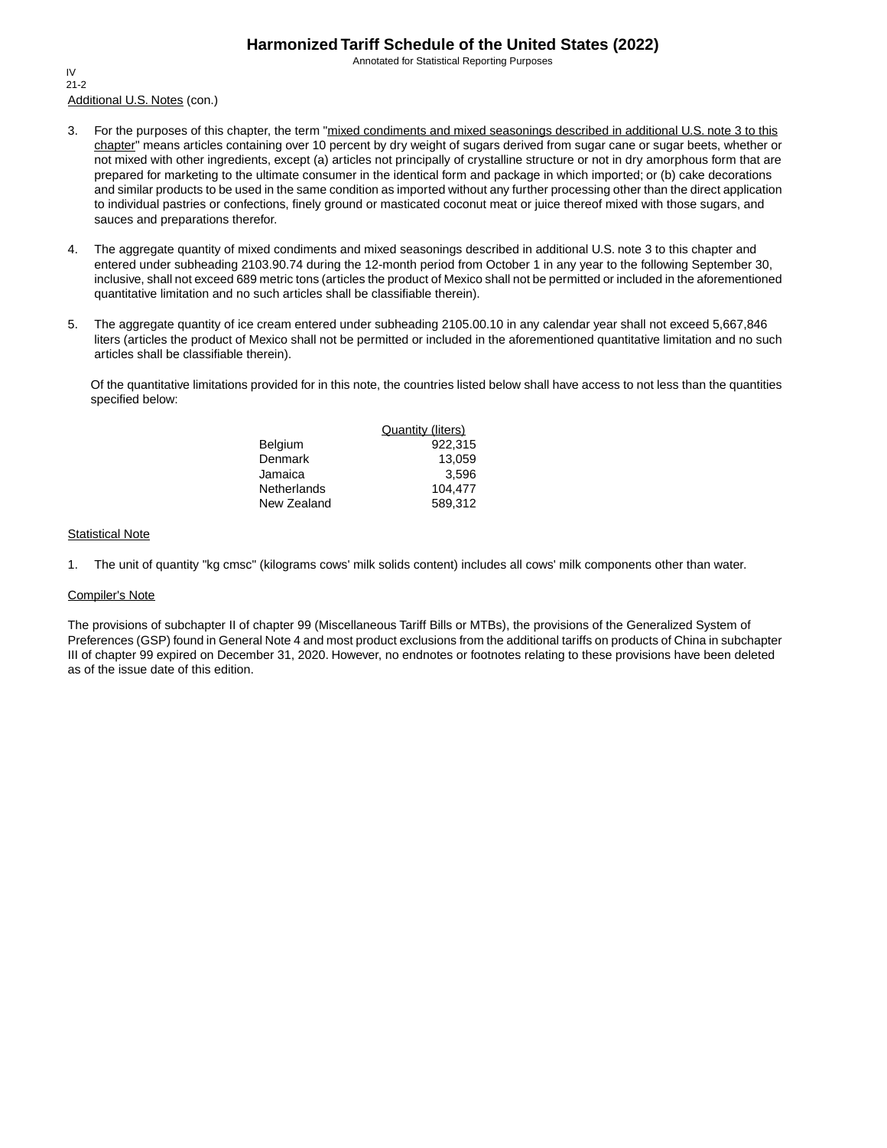Annotated for Statistical Reporting Purposes

Additional U.S. Notes (con.) IV 21-2

- 3. For the purposes of this chapter, the term "mixed condiments and mixed seasonings described in additional U.S. note 3 to this chapter" means articles containing over 10 percent by dry weight of sugars derived from sugar cane or sugar beets, whether or not mixed with other ingredients, except (a) articles not principally of crystalline structure or not in dry amorphous form that are prepared for marketing to the ultimate consumer in the identical form and package in which imported; or (b) cake decorations and similar products to be used in the same condition as imported without any further processing other than the direct application to individual pastries or confections, finely ground or masticated coconut meat or juice thereof mixed with those sugars, and sauces and preparations therefor.
- 4. The aggregate quantity of mixed condiments and mixed seasonings described in additional U.S. note 3 to this chapter and entered under subheading 2103.90.74 during the 12-month period from October 1 in any year to the following September 30, inclusive, shall not exceed 689 metric tons (articles the product of Mexico shall not be permitted or included in the aforementioned quantitative limitation and no such articles shall be classifiable therein).
- 5. The aggregate quantity of ice cream entered under subheading 2105.00.10 in any calendar year shall not exceed 5,667,846 liters (articles the product of Mexico shall not be permitted or included in the aforementioned quantitative limitation and no such articles shall be classifiable therein).

Of the quantitative limitations provided for in this note, the countries listed below shall have access to not less than the quantities specified below:

|                | <b>Quantity (liters)</b> |
|----------------|--------------------------|
| <b>Belgium</b> | 922.315                  |
| Denmark        | 13.059                   |
| Jamaica        | 3.596                    |
| Netherlands    | 104.477                  |
| New Zealand    | 589.312                  |

#### **Statistical Note**

1. The unit of quantity "kg cmsc" (kilograms cows' milk solids content) includes all cows' milk components other than water.

#### Compiler's Note

The provisions of subchapter II of chapter 99 (Miscellaneous Tariff Bills or MTBs), the provisions of the Generalized System of Preferences (GSP) found in General Note 4 and most product exclusions from the additional tariffs on products of China in subchapter III of chapter 99 expired on December 31, 2020. However, no endnotes or footnotes relating to these provisions have been deleted as of the issue date of this edition.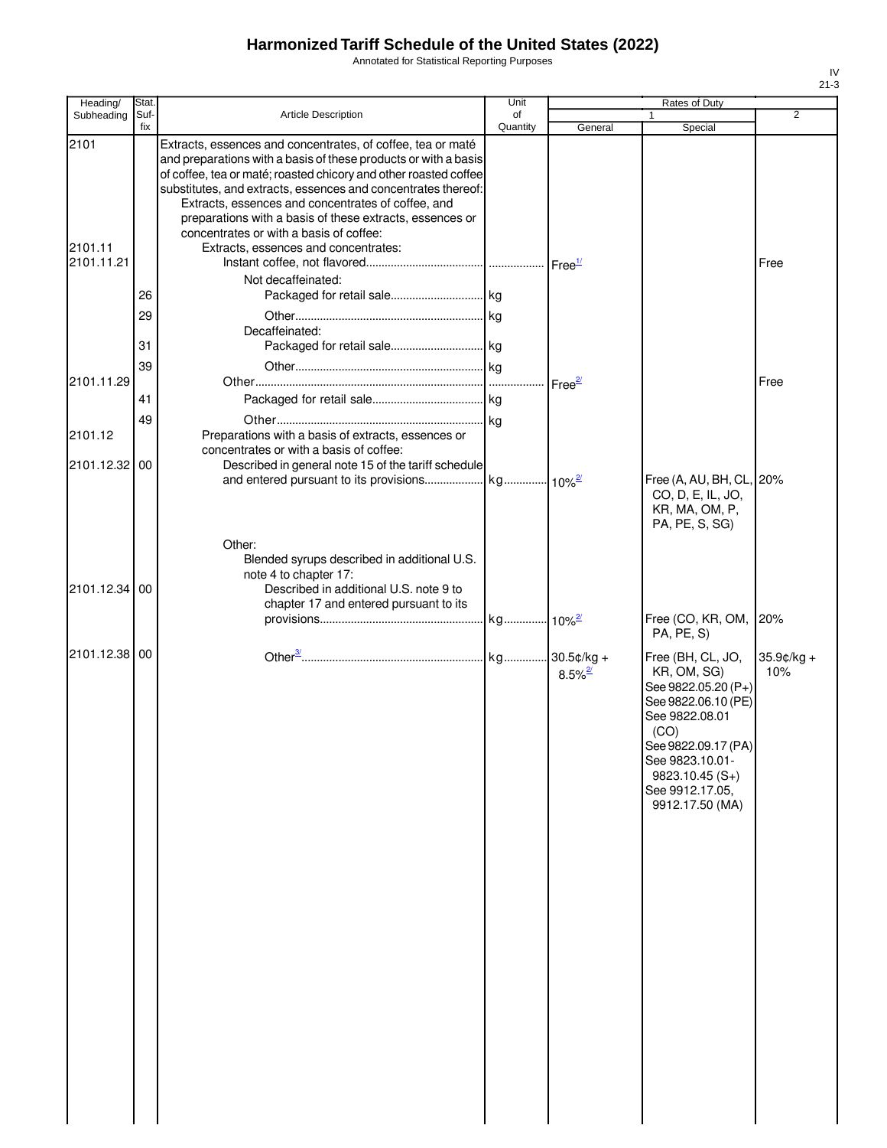Annotated for Statistical Reporting Purposes

| Heading/              | Stat.       |                                                                                                                                                                                                                                                                                                                                                                                       | Unit           |                       | Rates of Duty                                                                                                                                                                                                |                   |
|-----------------------|-------------|---------------------------------------------------------------------------------------------------------------------------------------------------------------------------------------------------------------------------------------------------------------------------------------------------------------------------------------------------------------------------------------|----------------|-----------------------|--------------------------------------------------------------------------------------------------------------------------------------------------------------------------------------------------------------|-------------------|
| Subheading            | Suf-<br>fix | Article Description                                                                                                                                                                                                                                                                                                                                                                   | of<br>Quantity | General               | Special                                                                                                                                                                                                      | $\overline{2}$    |
| 2101                  |             | Extracts, essences and concentrates, of coffee, tea or maté<br>and preparations with a basis of these products or with a basis<br>of coffee, tea or maté; roasted chicory and other roasted coffee<br>substitutes, and extracts, essences and concentrates thereof:<br>Extracts, essences and concentrates of coffee, and<br>preparations with a basis of these extracts, essences or |                |                       |                                                                                                                                                                                                              |                   |
| 2101.11<br>2101.11.21 |             | concentrates or with a basis of coffee:<br>Extracts, essences and concentrates:                                                                                                                                                                                                                                                                                                       |                |                       |                                                                                                                                                                                                              | Free              |
|                       | 26          | Not decaffeinated:                                                                                                                                                                                                                                                                                                                                                                    |                |                       |                                                                                                                                                                                                              |                   |
|                       | 29<br>31    | Decaffeinated:                                                                                                                                                                                                                                                                                                                                                                        |                |                       |                                                                                                                                                                                                              |                   |
| 2101.11.29            | 39          |                                                                                                                                                                                                                                                                                                                                                                                       |                | Free <sup>27</sup>    |                                                                                                                                                                                                              | Free              |
|                       | 41<br>49    |                                                                                                                                                                                                                                                                                                                                                                                       |                |                       |                                                                                                                                                                                                              |                   |
| 2101.12               |             | Preparations with a basis of extracts, essences or<br>concentrates or with a basis of coffee:                                                                                                                                                                                                                                                                                         |                |                       |                                                                                                                                                                                                              |                   |
| 2101.12.32 00         |             | Described in general note 15 of the tariff schedule                                                                                                                                                                                                                                                                                                                                   |                |                       | Free (A, AU, BH, CL, 20%<br>CO, D, E, IL, JO,<br>KR, MA, OM, P,<br>PA, PE, S, SG)                                                                                                                            |                   |
| 2101.12.34 00         |             | Other:<br>Blended syrups described in additional U.S.<br>note 4 to chapter 17:<br>Described in additional U.S. note 9 to<br>chapter 17 and entered pursuant to its                                                                                                                                                                                                                    |                |                       |                                                                                                                                                                                                              |                   |
|                       |             |                                                                                                                                                                                                                                                                                                                                                                                       |                |                       | Free (CO, KR, OM, 20%<br>PA, PE, S)                                                                                                                                                                          |                   |
| 2101.12.38 00         |             |                                                                                                                                                                                                                                                                                                                                                                                       |                | $8.5\%$ <sup>2/</sup> | Free (BH, CL, JO,<br>KR, OM, SG)<br>See 9822.05.20 (P+)<br>See 9822.06.10 (PE)<br>See 9822.08.01<br>(CO)<br>See 9822.09.17 (PA)<br>See 9823.10.01-<br>$9823.10.45(S+)$<br>See 9912.17.05.<br>9912.17.50 (MA) | 35.9¢/kg +<br>10% |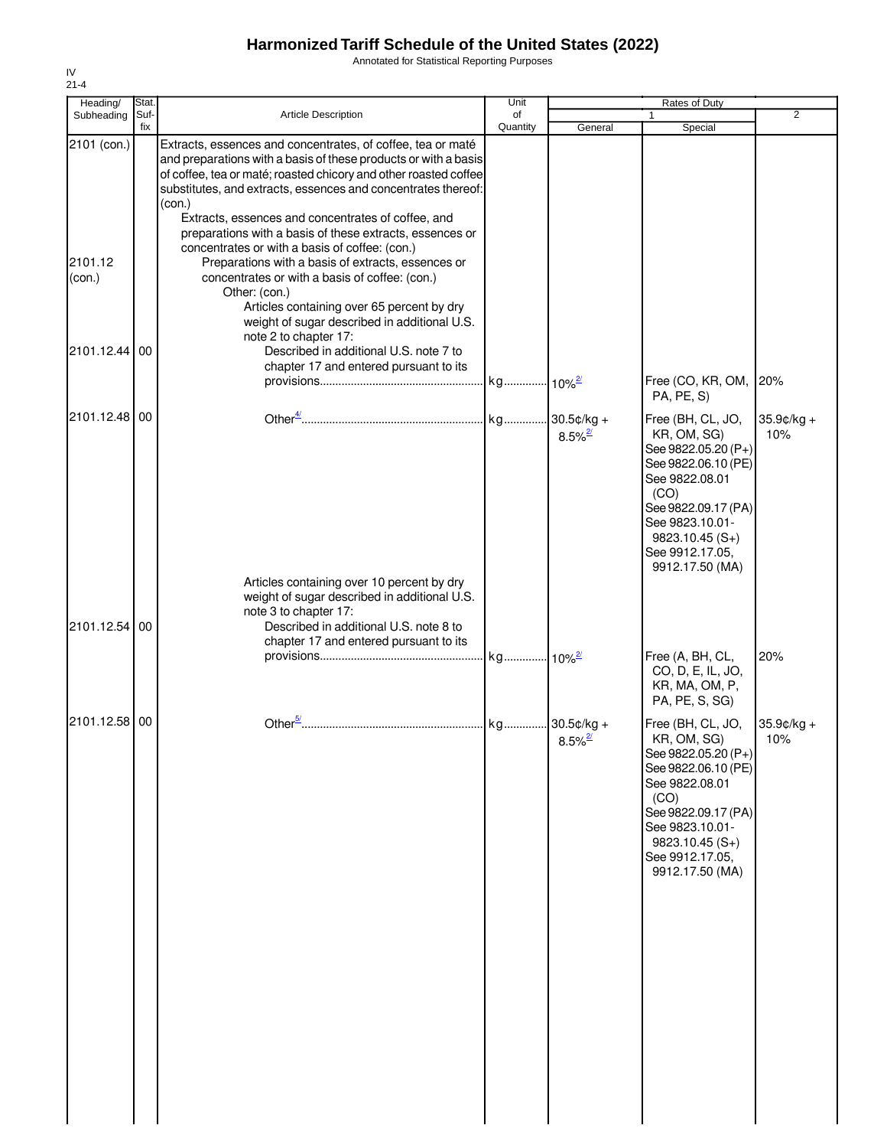Annotated for Statistical Reporting Purposes

| $21 - 4$          |             |                                                                                                                                                                                                                                                                                                                                                                                                 |                |                       |                                                                                                                                                                                                              |                      |
|-------------------|-------------|-------------------------------------------------------------------------------------------------------------------------------------------------------------------------------------------------------------------------------------------------------------------------------------------------------------------------------------------------------------------------------------------------|----------------|-----------------------|--------------------------------------------------------------------------------------------------------------------------------------------------------------------------------------------------------------|----------------------|
| Heading/          | Stat.       |                                                                                                                                                                                                                                                                                                                                                                                                 | Unit           |                       | Rates of Duty                                                                                                                                                                                                |                      |
| Subheading        | Suf-<br>fix | <b>Article Description</b>                                                                                                                                                                                                                                                                                                                                                                      | of<br>Quantity | General               | Special                                                                                                                                                                                                      | $\overline{2}$       |
| 2101 (con.)       |             | Extracts, essences and concentrates, of coffee, tea or maté<br>and preparations with a basis of these products or with a basis<br>of coffee, tea or maté; roasted chicory and other roasted coffee<br>substitutes, and extracts, essences and concentrates thereof:<br>(con.)<br>Extracts, essences and concentrates of coffee, and<br>preparations with a basis of these extracts, essences or |                |                       |                                                                                                                                                                                                              |                      |
| 2101.12<br>(con.) |             | concentrates or with a basis of coffee: (con.)<br>Preparations with a basis of extracts, essences or<br>concentrates or with a basis of coffee: (con.)<br>Other: (con.)<br>Articles containing over 65 percent by dry<br>weight of sugar described in additional U.S.                                                                                                                           |                |                       |                                                                                                                                                                                                              |                      |
| 2101.12.44        | 00          | note 2 to chapter 17:<br>Described in additional U.S. note 7 to<br>chapter 17 and entered pursuant to its                                                                                                                                                                                                                                                                                       |                |                       | Free (CO, KR, OM, 20%                                                                                                                                                                                        |                      |
|                   |             |                                                                                                                                                                                                                                                                                                                                                                                                 |                |                       | PA, PE, S)                                                                                                                                                                                                   |                      |
| 2101.12.48 00     |             |                                                                                                                                                                                                                                                                                                                                                                                                 |                | $8.5\%$ <sup>2/</sup> | Free (BH, CL, JO,<br>KR, OM, SG)<br>See 9822.05.20 (P+)<br>See 9822.06.10 (PE)<br>See 9822.08.01<br>(CO)<br>See 9822.09.17 (PA)<br>See 9823.10.01-<br>$9823.10.45(S+)$<br>See 9912.17.05,<br>9912.17.50 (MA) | $35.9$ ¢/kg +<br>10% |
| 2101.12.54        | 00          | Articles containing over 10 percent by dry<br>weight of sugar described in additional U.S.<br>note 3 to chapter 17:<br>Described in additional U.S. note 8 to<br>chapter 17 and entered pursuant to its                                                                                                                                                                                         |                |                       | Free (A, BH, CL,<br>CO, D, E, IL, JO,                                                                                                                                                                        | 20%                  |
|                   |             |                                                                                                                                                                                                                                                                                                                                                                                                 |                |                       | KR, MA, OM, P,<br>PA, PE, S, SG)                                                                                                                                                                             |                      |
| 2101.12.58 00     |             |                                                                                                                                                                                                                                                                                                                                                                                                 |                | $8.5\%$ <sup>2/</sup> | Free (BH, CL, JO,<br>KR, OM, SG)<br>See 9822.05.20 (P+)<br>See 9822.06.10 (PE)<br>See 9822.08.01<br>(CO)<br>See 9822.09.17 (PA)<br>See 9823.10.01-<br>$9823.10.45(S+)$<br>See 9912.17.05,<br>9912.17.50 (MA) | $35.9c/kg +$<br>10%  |

IV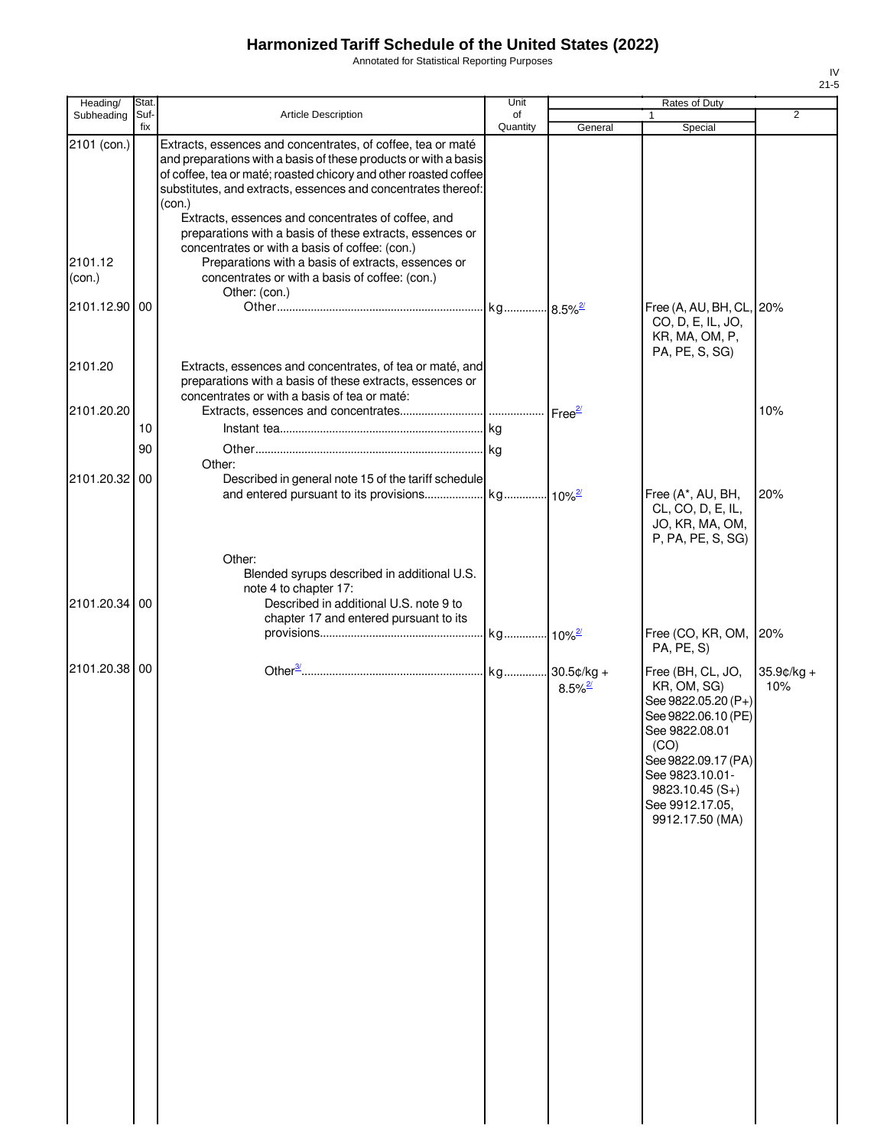Annotated for Statistical Reporting Purposes

| Heading/      | Stat. |                                                                      | Unit     |                       | Rates of Duty                              |                |
|---------------|-------|----------------------------------------------------------------------|----------|-----------------------|--------------------------------------------|----------------|
| Subheading    | Suf-  | <b>Article Description</b>                                           | of       |                       |                                            | $\overline{2}$ |
| 2101 (con.)   | fix   | Extracts, essences and concentrates, of coffee, tea or maté          | Quantity | General               | Special                                    |                |
|               |       | and preparations with a basis of these products or with a basis      |          |                       |                                            |                |
|               |       | of coffee, tea or maté; roasted chicory and other roasted coffee     |          |                       |                                            |                |
|               |       | substitutes, and extracts, essences and concentrates thereof:        |          |                       |                                            |                |
|               |       | (con.)<br>Extracts, essences and concentrates of coffee, and         |          |                       |                                            |                |
|               |       | preparations with a basis of these extracts, essences or             |          |                       |                                            |                |
|               |       | concentrates or with a basis of coffee: (con.)                       |          |                       |                                            |                |
| 2101.12       |       | Preparations with a basis of extracts, essences or                   |          |                       |                                            |                |
| (con.)        |       | concentrates or with a basis of coffee: (con.)                       |          |                       |                                            |                |
| 2101.12.90 00 |       | Other: (con.)                                                        |          |                       | Free (A, AU, BH, CL, 20%                   |                |
|               |       |                                                                      |          |                       | CO, D, E, IL, JO,                          |                |
|               |       |                                                                      |          |                       | KR, MA, OM, P,                             |                |
|               |       |                                                                      |          |                       | PA, PE, S, SG)                             |                |
| 2101.20       |       | Extracts, essences and concentrates, of tea or maté, and             |          |                       |                                            |                |
|               |       | preparations with a basis of these extracts, essences or             |          |                       |                                            |                |
| 2101.20.20    |       | concentrates or with a basis of tea or maté:                         |          |                       |                                            | 10%            |
|               | 10    |                                                                      |          |                       |                                            |                |
|               |       |                                                                      |          |                       |                                            |                |
|               | 90    | Other:                                                               |          |                       |                                            |                |
| 2101.20.32 00 |       | Described in general note 15 of the tariff schedule                  |          |                       |                                            |                |
|               |       |                                                                      |          |                       | Free (A*, AU, BH,                          | 20%            |
|               |       |                                                                      |          |                       | CL, CO, D, E, IL,                          |                |
|               |       |                                                                      |          |                       | JO, KR, MA, OM,                            |                |
|               |       |                                                                      |          |                       | P, PA, PE, S, SG)                          |                |
|               |       | Other:                                                               |          |                       |                                            |                |
|               |       | Blended syrups described in additional U.S.<br>note 4 to chapter 17: |          |                       |                                            |                |
| 2101.20.34 00 |       | Described in additional U.S. note 9 to                               |          |                       |                                            |                |
|               |       | chapter 17 and entered pursuant to its                               |          |                       |                                            |                |
|               |       |                                                                      |          |                       | Free (CO, KR, OM, 20%                      |                |
|               |       |                                                                      |          |                       | PA, PE, S)                                 |                |
| 2101.20.38 00 |       |                                                                      |          |                       | Free (BH, CL, JO,                          | $35.9¢/kg +$   |
|               |       |                                                                      |          | $8.5\%$ <sup>2/</sup> | KR, OM, SG)                                | 10%            |
|               |       |                                                                      |          |                       | See 9822.05.20 (P+)<br>See 9822.06.10 (PE) |                |
|               |       |                                                                      |          |                       | See 9822.08.01                             |                |
|               |       |                                                                      |          |                       | (CO)                                       |                |
|               |       |                                                                      |          |                       | See 9822.09.17 (PA)                        |                |
|               |       |                                                                      |          |                       | See 9823.10.01-                            |                |
|               |       |                                                                      |          |                       | $9823.10.45(S+)$<br>See 9912.17.05,        |                |
|               |       |                                                                      |          |                       | 9912.17.50 (MA)                            |                |
|               |       |                                                                      |          |                       |                                            |                |
|               |       |                                                                      |          |                       |                                            |                |
|               |       |                                                                      |          |                       |                                            |                |
|               |       |                                                                      |          |                       |                                            |                |
|               |       |                                                                      |          |                       |                                            |                |
|               |       |                                                                      |          |                       |                                            |                |
|               |       |                                                                      |          |                       |                                            |                |
|               |       |                                                                      |          |                       |                                            |                |
|               |       |                                                                      |          |                       |                                            |                |
|               |       |                                                                      |          |                       |                                            |                |
|               |       |                                                                      |          |                       |                                            |                |
|               |       |                                                                      |          |                       |                                            |                |
|               |       |                                                                      |          |                       |                                            |                |
|               |       |                                                                      |          |                       |                                            |                |
|               |       |                                                                      |          |                       |                                            |                |
|               |       |                                                                      |          |                       |                                            |                |
|               |       |                                                                      |          |                       |                                            |                |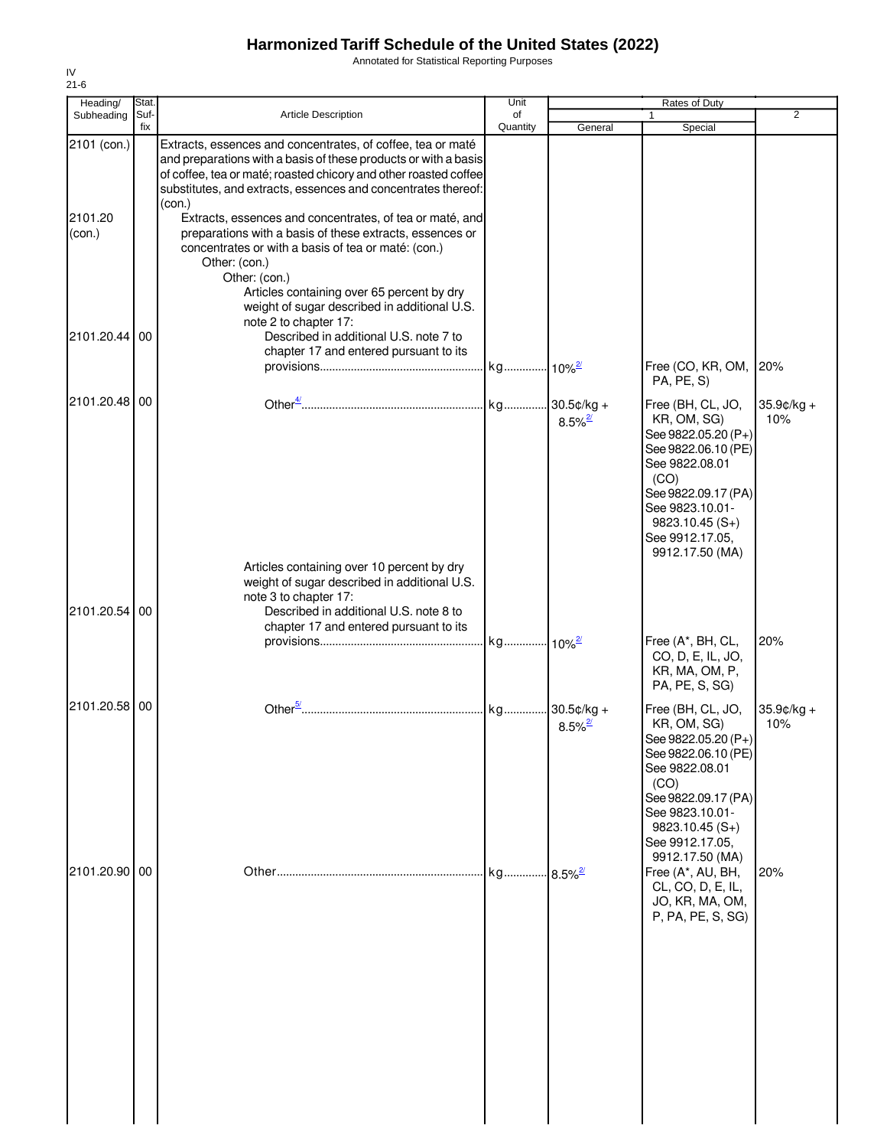Annotated for Statistical Reporting Purposes

| Heading/<br>Subheading | Stat.<br>Suf- | Article Description                                                                                                                                                                                                                                                                                                                            | Unit<br>of |                       | Rates of Duty<br>$\mathbf{1}$                                                                                                                                                                                | $\overline{2}$       |
|------------------------|---------------|------------------------------------------------------------------------------------------------------------------------------------------------------------------------------------------------------------------------------------------------------------------------------------------------------------------------------------------------|------------|-----------------------|--------------------------------------------------------------------------------------------------------------------------------------------------------------------------------------------------------------|----------------------|
|                        | fix           |                                                                                                                                                                                                                                                                                                                                                | Quantity   | General               | Special                                                                                                                                                                                                      |                      |
| 2101 (con.)            |               | Extracts, essences and concentrates, of coffee, tea or maté<br>and preparations with a basis of these products or with a basis<br>of coffee, tea or maté; roasted chicory and other roasted coffee<br>substitutes, and extracts, essences and concentrates thereof:                                                                            |            |                       |                                                                                                                                                                                                              |                      |
| 2101.20<br>(con.)      |               | (con.)<br>Extracts, essences and concentrates, of tea or maté, and<br>preparations with a basis of these extracts, essences or<br>concentrates or with a basis of tea or maté: (con.)<br>Other: (con.)<br>Other: (con.)<br>Articles containing over 65 percent by dry<br>weight of sugar described in additional U.S.<br>note 2 to chapter 17: |            |                       |                                                                                                                                                                                                              |                      |
| 2101.20.44 00          |               | Described in additional U.S. note 7 to<br>chapter 17 and entered pursuant to its                                                                                                                                                                                                                                                               |            |                       | Free (CO, KR, OM,<br>PA, PE, S)                                                                                                                                                                              | 20%                  |
| 2101.20.48 00          |               |                                                                                                                                                                                                                                                                                                                                                |            | $8.5\%$ <sup>2/</sup> | Free (BH, CL, JO,<br>KR, OM, SG)<br>See 9822.05.20 (P+)<br>See 9822.06.10 (PE)<br>See 9822.08.01<br>(CO)<br>See 9822.09.17 (PA)<br>See 9823.10.01-<br>$9823.10.45(S+)$<br>See 9912.17.05,<br>9912.17.50 (MA) | $35.9$ ¢/kg +<br>10% |
| 2101.20.54 00          |               | Articles containing over 10 percent by dry<br>weight of sugar described in additional U.S.<br>note 3 to chapter 17:<br>Described in additional U.S. note 8 to<br>chapter 17 and entered pursuant to its                                                                                                                                        |            |                       |                                                                                                                                                                                                              |                      |
|                        |               |                                                                                                                                                                                                                                                                                                                                                |            |                       | Free (A*, BH, CL,<br>CO, D, E, IL, JO,<br>KR, MA, OM, P,<br>PA, PE, S, SG)                                                                                                                                   | 20%                  |
| 2101.20.58 00          |               |                                                                                                                                                                                                                                                                                                                                                |            | $8.5\%$ <sup>2/</sup> | Free (BH, CL, JO,<br>KR, OM, SG)<br>See 9822.05.20 (P+)<br>See 9822.06.10 (PE)<br>See 9822.08.01<br>(CO)<br>See 9822.09.17 (PA)<br>See 9823.10.01-<br>$9823.10.45(S+)$<br>See 9912.17.05.                    | 35.9¢/kg +<br>10%    |
| 2101.20.90 00          |               |                                                                                                                                                                                                                                                                                                                                                |            |                       | 9912.17.50 (MA)<br>Free (A*, AU, BH,<br>CL, CO, D, E, IL,<br>JO, KR, MA, OM,<br>P, PA, PE, S, SG)                                                                                                            | 20%                  |

IV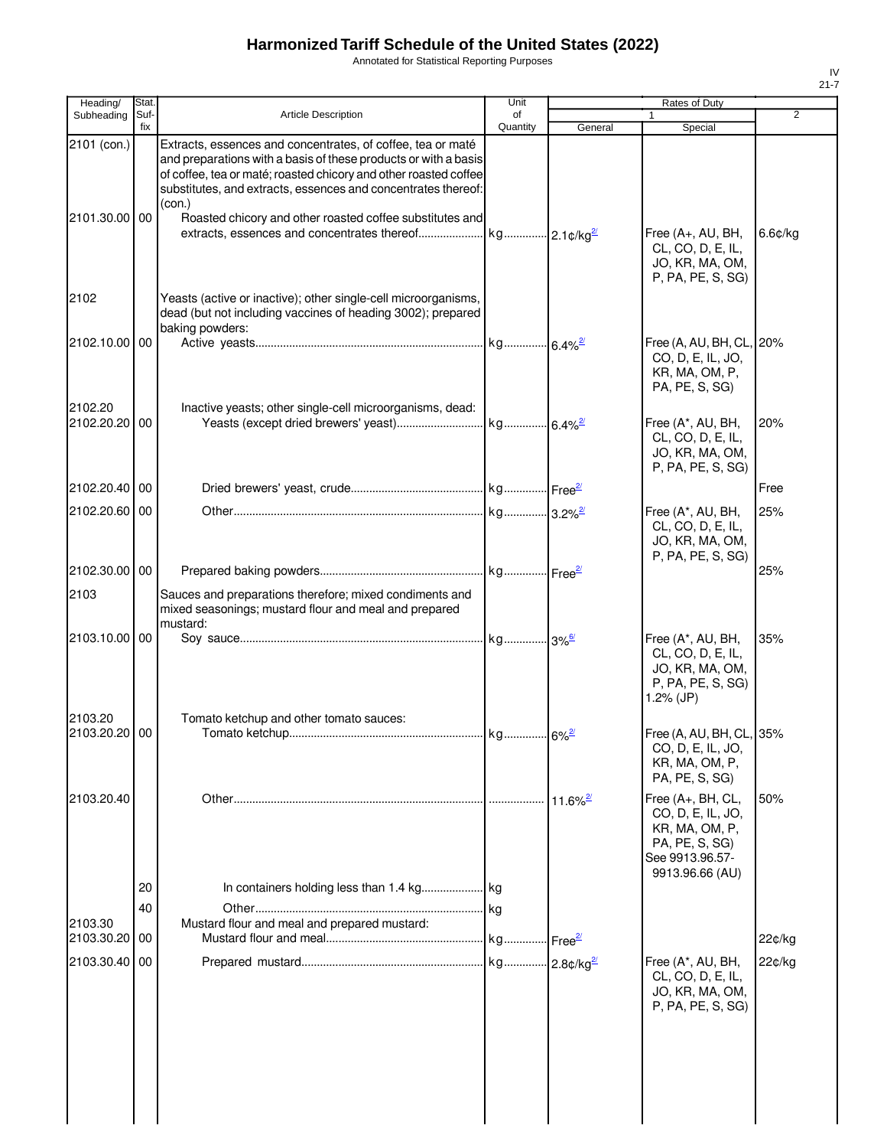Annotated for Statistical Reporting Purposes

2102

2103

| Heading/<br>Subheading   | Stat.<br>Suf- | <b>Article Description</b>                                                                                                                                                                                                                                          | Unit<br>of |                        | Rates of Duty                                                                                                    | 2       |
|--------------------------|---------------|---------------------------------------------------------------------------------------------------------------------------------------------------------------------------------------------------------------------------------------------------------------------|------------|------------------------|------------------------------------------------------------------------------------------------------------------|---------|
|                          | fix           |                                                                                                                                                                                                                                                                     | Quantity   | General                | Special                                                                                                          |         |
| 2101 (con.)              |               | Extracts, essences and concentrates, of coffee, tea or maté<br>and preparations with a basis of these products or with a basis<br>of coffee, tea or maté; roasted chicory and other roasted coffee<br>substitutes, and extracts, essences and concentrates thereof: |            |                        |                                                                                                                  |         |
| 2101.30.00 00            |               | (con.)<br>Roasted chicory and other roasted coffee substitutes and                                                                                                                                                                                                  |            |                        | Free (A+, AU, BH,<br>CL, CO, D, E, IL,<br>JO, KR, MA, OM,<br>P, PA, PE, S, SG)                                   | 6.6¢/kg |
| 2102                     |               | Yeasts (active or inactive); other single-cell microorganisms,<br>dead (but not including vaccines of heading 3002); prepared<br>baking powders:                                                                                                                    |            |                        |                                                                                                                  |         |
| 2102.10.00 00            |               |                                                                                                                                                                                                                                                                     |            |                        | Free (A, AU, BH, CL, 20%<br>CO, D, E, IL, JO,<br>KR, MA, OM, P,<br>PA, PE, S, SG)                                |         |
| 2102.20<br>2102.20.20 00 |               | Inactive yeasts; other single-cell microorganisms, dead:                                                                                                                                                                                                            |            | $.6.4\%$ <sup>2/</sup> | Free (A*, AU, BH,<br>CL, CO, D, E, IL,<br>JO, KR, MA, OM,<br>P, PA, PE, S, SG)                                   | 20%     |
| 2102.20.40 00            |               |                                                                                                                                                                                                                                                                     |            |                        |                                                                                                                  | Free    |
| 2102.20.60 00            |               |                                                                                                                                                                                                                                                                     |            |                        | Free (A*, AU, BH,<br>CL, CO, D, E, IL,<br>JO, KR, MA, OM,<br>P, PA, PE, S, SG)                                   | 25%     |
| 2102.30.00 00            |               |                                                                                                                                                                                                                                                                     |            |                        |                                                                                                                  | 25%     |
| 2103                     |               | Sauces and preparations therefore; mixed condiments and<br>mixed seasonings; mustard flour and meal and prepared<br>mustard:                                                                                                                                        |            |                        |                                                                                                                  |         |
| 2103.10.00 00<br>2103.20 |               |                                                                                                                                                                                                                                                                     |            |                        | Free (A*, AU, BH,<br>CL, CO, D, E, IL,<br>JO, KR, MA, OM,<br>P, PA, PE, S, SG)<br>1.2% $(JP)$                    | 35%     |
| 2103.20.20 00            |               | Tomato ketchup and other tomato sauces:                                                                                                                                                                                                                             |            |                        | Free (A, AU, BH, CL, 35%<br>CO, D, E, IL, JO,<br>KR, MA, OM, P,<br>PA, PE, S, SG)                                |         |
| 2103.20.40               |               |                                                                                                                                                                                                                                                                     |            | $11.6\%$ <sup>2/</sup> | Free (A+, BH, CL,<br>CO, D, E, IL, JO,<br>KR, MA, OM, P,<br>PA, PE, S, SG)<br>See 9913.96.57-<br>9913.96.66 (AU) | 50%     |
|                          | 20            |                                                                                                                                                                                                                                                                     |            |                        |                                                                                                                  |         |
|                          | 40            |                                                                                                                                                                                                                                                                     |            |                        |                                                                                                                  |         |
| 2103.30<br>2103.30.20    | 00            | Mustard flour and meal and prepared mustard:                                                                                                                                                                                                                        |            |                        |                                                                                                                  | 22¢/kg  |
| 2103.30.40 00            |               |                                                                                                                                                                                                                                                                     |            |                        | Free (A*, AU, BH,                                                                                                | 22¢/kg  |
|                          |               |                                                                                                                                                                                                                                                                     |            |                        | CL, CO, D, E, IL,<br>JO, KR, MA, OM,<br>P, PA, PE, S, SG)                                                        |         |

IV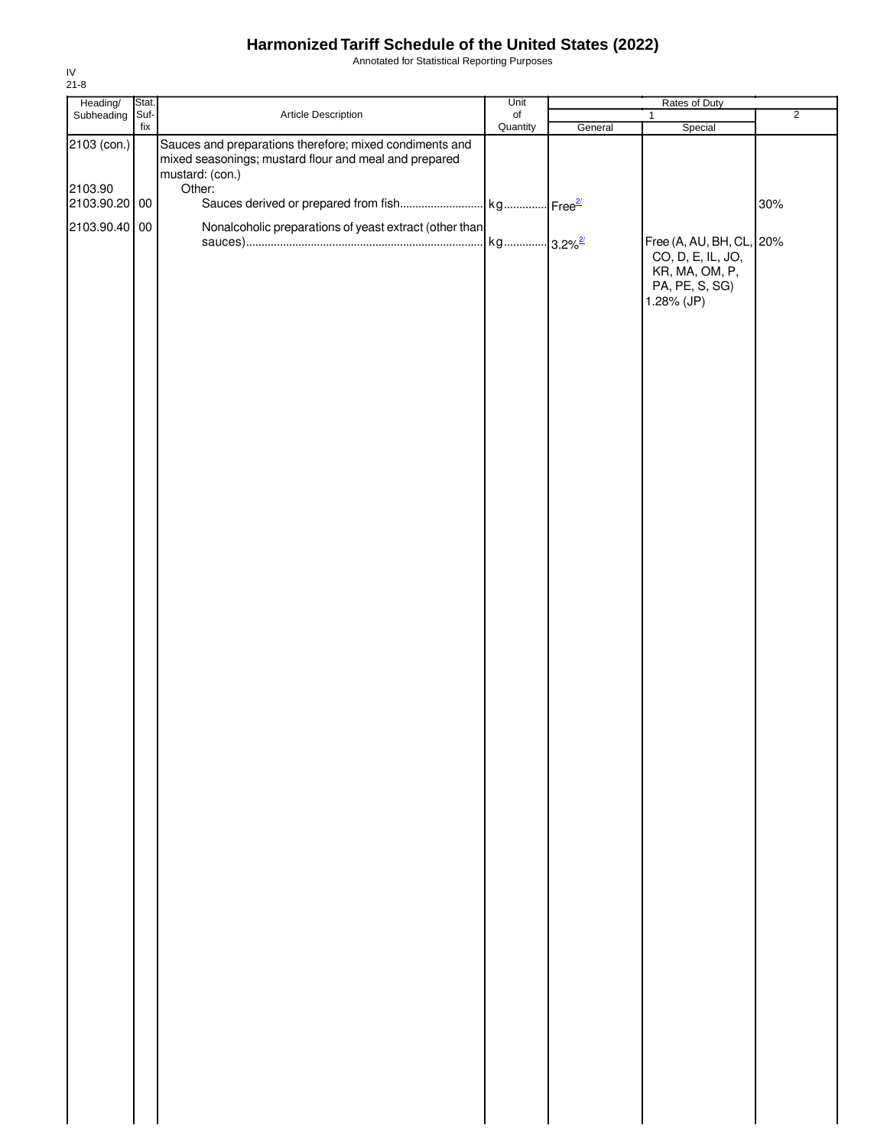Annotated for Statistical Reporting Purposes

| Heading/                 | Stat. |                                                                                                                                     | Unit                  |         | Rates of Duty                                                   |                |
|--------------------------|-------|-------------------------------------------------------------------------------------------------------------------------------------|-----------------------|---------|-----------------------------------------------------------------|----------------|
| Subheading Suf-          |       | Article Description                                                                                                                 | $\circ$ f             |         | 1                                                               | $\overline{2}$ |
| 2103 (con.)              | fix   | Sauces and preparations therefore; mixed condiments and<br>mixed seasonings; mustard flour and meal and prepared<br>mustard: (con.) | Quantity              | General | Special                                                         |                |
| 2103.90<br>2103.90.20 00 |       | Other:                                                                                                                              |                       |         |                                                                 | 30%            |
| 2103.90.40 00            |       | Nonalcoholic preparations of yeast extract (other than                                                                              | kg 3.2% <sup>2/</sup> |         | Free (A, AU, BH, CL, 20%<br>CO, D, E, IL, JO,<br>KR, MA, OM, P, |                |
|                          |       |                                                                                                                                     |                       |         | PA, PE, S, SG)<br>1.28% (JP)                                    |                |
|                          |       |                                                                                                                                     |                       |         |                                                                 |                |
|                          |       |                                                                                                                                     |                       |         |                                                                 |                |
|                          |       |                                                                                                                                     |                       |         |                                                                 |                |
|                          |       |                                                                                                                                     |                       |         |                                                                 |                |
|                          |       |                                                                                                                                     |                       |         |                                                                 |                |
|                          |       |                                                                                                                                     |                       |         |                                                                 |                |
|                          |       |                                                                                                                                     |                       |         |                                                                 |                |
|                          |       |                                                                                                                                     |                       |         |                                                                 |                |
|                          |       |                                                                                                                                     |                       |         |                                                                 |                |
|                          |       |                                                                                                                                     |                       |         |                                                                 |                |
|                          |       |                                                                                                                                     |                       |         |                                                                 |                |
|                          |       |                                                                                                                                     |                       |         |                                                                 |                |
|                          |       |                                                                                                                                     |                       |         |                                                                 |                |
|                          |       |                                                                                                                                     |                       |         |                                                                 |                |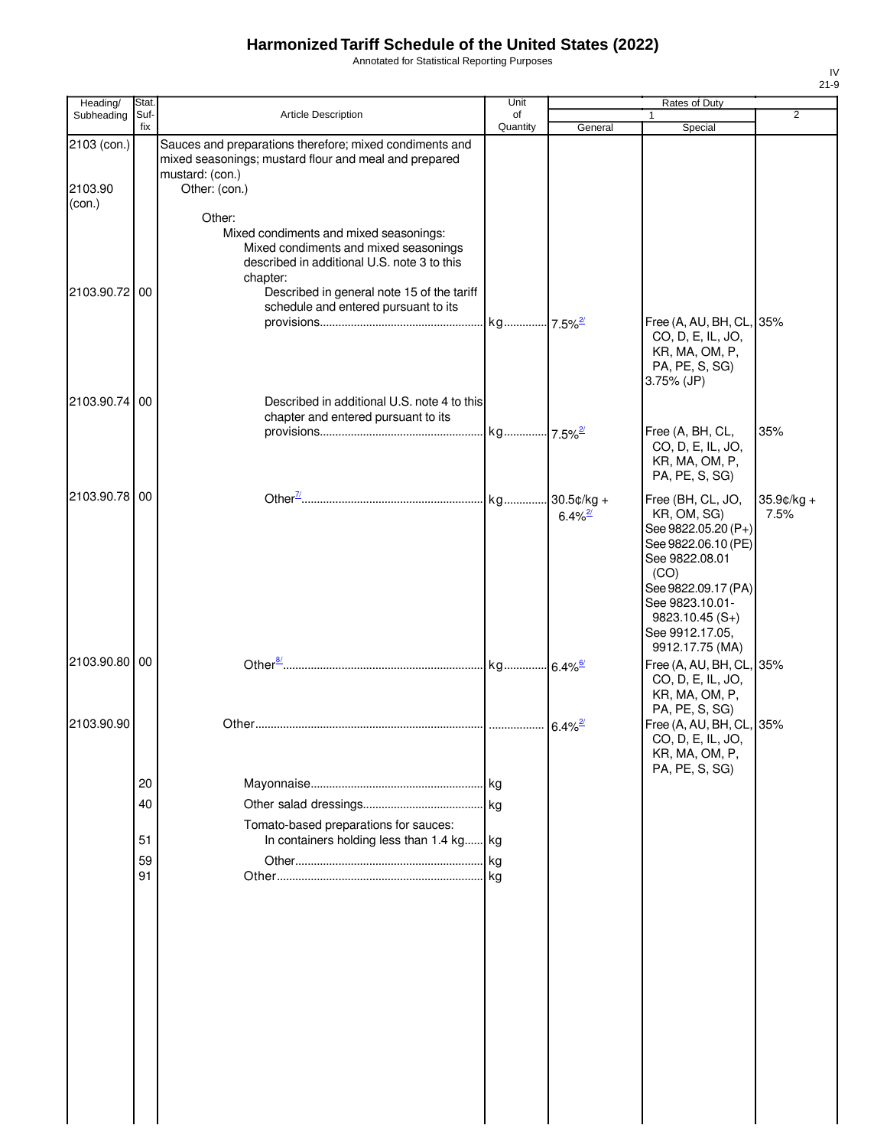Annotated for Statistical Reporting Purposes

| Heading/          | Stat. |                                                                                                                                                                                          | Unit                  |                                        | Rates of Duty                                                                                                                                                                                                |                    |
|-------------------|-------|------------------------------------------------------------------------------------------------------------------------------------------------------------------------------------------|-----------------------|----------------------------------------|--------------------------------------------------------------------------------------------------------------------------------------------------------------------------------------------------------------|--------------------|
| Subheading        | Suf-  | Article Description                                                                                                                                                                      | of                    |                                        |                                                                                                                                                                                                              | $\overline{2}$     |
|                   | fix   |                                                                                                                                                                                          | Quantity              | General                                | Special                                                                                                                                                                                                      |                    |
| 2103 (con.)       |       | Sauces and preparations therefore; mixed condiments and<br>mixed seasonings; mustard flour and meal and prepared<br>mustard: (con.)                                                      |                       |                                        |                                                                                                                                                                                                              |                    |
| 2103.90<br>(con.) |       | Other: (con.)<br>Other:                                                                                                                                                                  |                       |                                        |                                                                                                                                                                                                              |                    |
| 2103.90.72 00     |       | Mixed condiments and mixed seasonings:<br>Mixed condiments and mixed seasonings<br>described in additional U.S. note 3 to this<br>chapter:<br>Described in general note 15 of the tariff |                       |                                        |                                                                                                                                                                                                              |                    |
|                   |       | schedule and entered pursuant to its                                                                                                                                                     | kg 7.5% <sup>2/</sup> |                                        | Free (A, AU, BH, CL, 35%<br>CO, D, E, IL, JO,<br>KR, MA, OM, P,                                                                                                                                              |                    |
| 2103.90.74 00     |       | Described in additional U.S. note 4 to this                                                                                                                                              |                       |                                        | PA, PE, S, SG)<br>3.75% (JP)                                                                                                                                                                                 |                    |
|                   |       | chapter and entered pursuant to its                                                                                                                                                      |                       |                                        |                                                                                                                                                                                                              |                    |
|                   |       |                                                                                                                                                                                          |                       |                                        | Free (A, BH, CL,<br>CO, D, E, IL, JO,<br>KR, MA, OM, P,<br>PA, PE, S, SG)                                                                                                                                    | 35%                |
| 2103.90.78 00     |       |                                                                                                                                                                                          |                       | $30.5$ ¢/kg +<br>$6.4\%$ <sup>2/</sup> | Free (BH, CL, JO,<br>KR, OM, SG)<br>See 9822.05.20 (P+)<br>See 9822.06.10 (PE)<br>See 9822.08.01<br>(CO)<br>See 9822.09.17 (PA)<br>See 9823.10.01-<br>$9823.10.45(S+)$<br>See 9912.17.05,<br>9912.17.75 (MA) | 35.9¢/kg +<br>7.5% |
| 2103.90.80 00     |       |                                                                                                                                                                                          |                       |                                        | Free (A, AU, BH, CL, 35%<br>CO, D, E, IL, JO,<br>KR, MA, OM, P,                                                                                                                                              |                    |
| 2103.90.90        |       |                                                                                                                                                                                          |                       |                                        | PA, PE, S, SG)<br>Free (A, AU, BH, CL, 35%<br>CO, D, E, IL, JO,<br>KR, MA, OM, P,                                                                                                                            |                    |
|                   | 20    |                                                                                                                                                                                          |                       |                                        | PA, PE, S, SG)                                                                                                                                                                                               |                    |
|                   | 40    |                                                                                                                                                                                          | kg                    |                                        |                                                                                                                                                                                                              |                    |
|                   |       | Tomato-based preparations for sauces:                                                                                                                                                    |                       |                                        |                                                                                                                                                                                                              |                    |
|                   | 51    | In containers holding less than 1.4 kg                                                                                                                                                   | kg                    |                                        |                                                                                                                                                                                                              |                    |
|                   | 59    |                                                                                                                                                                                          | kg                    |                                        |                                                                                                                                                                                                              |                    |
|                   | 91    |                                                                                                                                                                                          |                       |                                        |                                                                                                                                                                                                              |                    |
|                   |       |                                                                                                                                                                                          |                       |                                        |                                                                                                                                                                                                              |                    |
|                   |       |                                                                                                                                                                                          |                       |                                        |                                                                                                                                                                                                              |                    |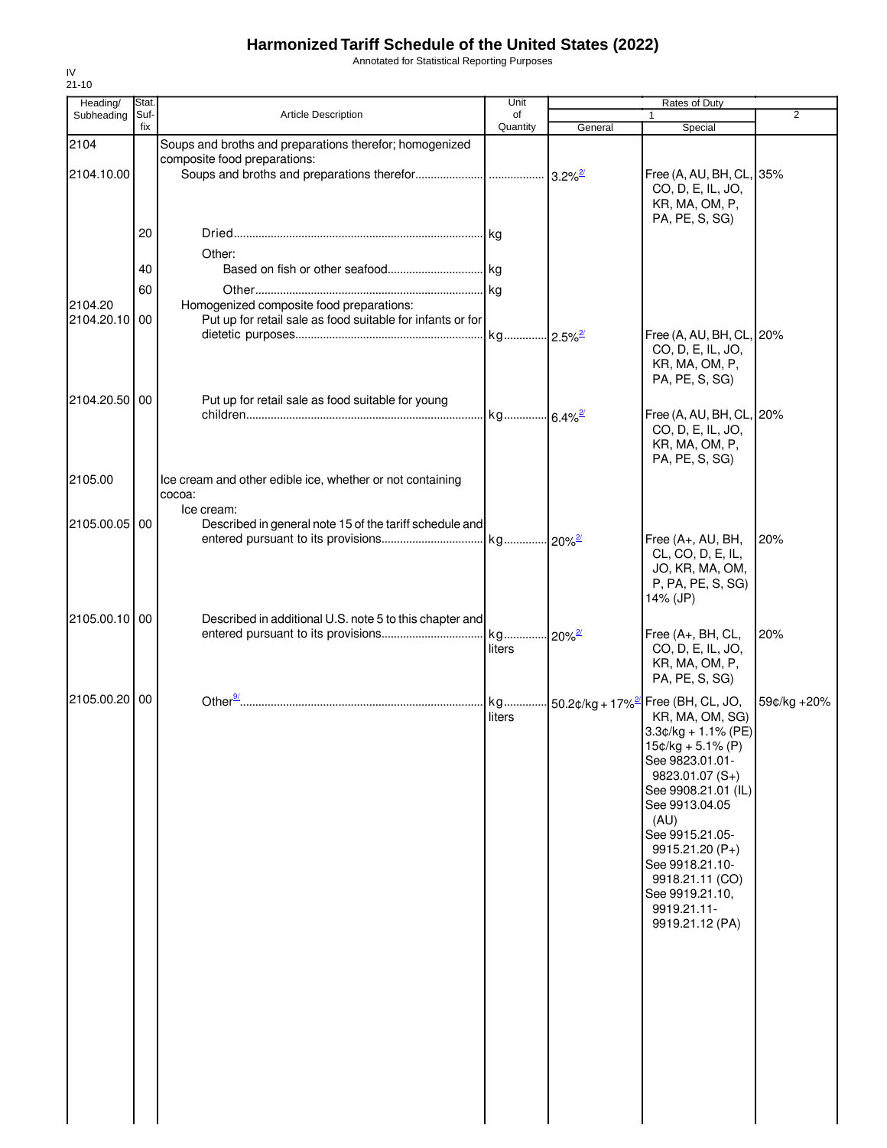Annotated for Statistical Reporting Purposes

| Heading/              | Stat.       |                                                                                                        | Unit                           |                                      | Rates of Duty                                                                                                                                                                                                                                                                           |             |
|-----------------------|-------------|--------------------------------------------------------------------------------------------------------|--------------------------------|--------------------------------------|-----------------------------------------------------------------------------------------------------------------------------------------------------------------------------------------------------------------------------------------------------------------------------------------|-------------|
| Subheading            | Suf-<br>fix | <b>Article Description</b>                                                                             | of                             |                                      | 1                                                                                                                                                                                                                                                                                       | 2           |
|                       |             |                                                                                                        | Quantity                       | General                              | Special                                                                                                                                                                                                                                                                                 |             |
| 2104                  |             | Soups and broths and preparations therefor; homogenized<br>composite food preparations:                |                                |                                      |                                                                                                                                                                                                                                                                                         |             |
| 2104.10.00            |             |                                                                                                        |                                | $3.2\%$ <sup>2/</sup>                | Free (A, AU, BH, CL, 35%<br>CO, D, E, IL, JO,<br>KR, MA, OM, P,                                                                                                                                                                                                                         |             |
|                       | 20          |                                                                                                        |                                |                                      | PA, PE, S, SG)                                                                                                                                                                                                                                                                          |             |
|                       |             |                                                                                                        |                                |                                      |                                                                                                                                                                                                                                                                                         |             |
|                       | 40          | Other:                                                                                                 |                                |                                      |                                                                                                                                                                                                                                                                                         |             |
|                       |             |                                                                                                        |                                |                                      |                                                                                                                                                                                                                                                                                         |             |
|                       | 60          |                                                                                                        |                                |                                      |                                                                                                                                                                                                                                                                                         |             |
| 2104.20<br>2104.20.10 | 00          | Homogenized composite food preparations:<br>Put up for retail sale as food suitable for infants or for |                                |                                      |                                                                                                                                                                                                                                                                                         |             |
|                       |             |                                                                                                        | kg 2.5% <sup>2/</sup>          |                                      | Free (A, AU, BH, CL, 20%                                                                                                                                                                                                                                                                |             |
|                       |             |                                                                                                        |                                |                                      | CO, D, E, IL, JO,<br>KR, MA, OM, P,<br>PA, PE, S, SG)                                                                                                                                                                                                                                   |             |
| 2104.20.50 00         |             | Put up for retail sale as food suitable for young                                                      |                                |                                      |                                                                                                                                                                                                                                                                                         |             |
|                       |             |                                                                                                        | kg 6.4% <sup>2/21</sup>        |                                      | Free (A, AU, BH, CL, 20%<br>CO, D, E, IL, JO,<br>KR, MA, OM, P,<br>PA, PE, S, SG)                                                                                                                                                                                                       |             |
|                       |             |                                                                                                        |                                |                                      |                                                                                                                                                                                                                                                                                         |             |
| 2105.00               |             | Ice cream and other edible ice, whether or not containing<br>cocoa:                                    |                                |                                      |                                                                                                                                                                                                                                                                                         |             |
|                       |             | Ice cream:                                                                                             |                                |                                      |                                                                                                                                                                                                                                                                                         |             |
| 2105.00.05 00         |             | Described in general note 15 of the tariff schedule and                                                |                                |                                      |                                                                                                                                                                                                                                                                                         |             |
|                       |             |                                                                                                        |                                |                                      | Free (A+, AU, BH,                                                                                                                                                                                                                                                                       | 20%         |
|                       |             |                                                                                                        |                                |                                      | CL, CO, D, E, IL,<br>JO, KR, MA, OM,<br>P, PA, PE, S, SG)<br>14% (JP)                                                                                                                                                                                                                   |             |
| 2105.00.10 00         |             | Described in additional U.S. note 5 to this chapter and                                                |                                |                                      |                                                                                                                                                                                                                                                                                         |             |
|                       |             |                                                                                                        | kg 20% <sup>2/</sup><br>liters |                                      | Free $(A+, BH, CL,$<br>CO, D, E, IL, JO,<br>KR, MA, OM, P,<br>PA, PE, S, SG)                                                                                                                                                                                                            | 20%         |
| 2105.00.20 00         |             |                                                                                                        | kg                             | $\cdot$ 50.2¢/kg + 17% <sup>2/</sup> | Free (BH, CL, JO,                                                                                                                                                                                                                                                                       | 59¢/kg +20% |
|                       |             |                                                                                                        | liters                         |                                      | KR, MA, OM, SG)<br>$3.3¢/kg + 1.1% (PE)$<br>$15¢/kg + 5.1% (P)$<br>See 9823.01.01-<br>9823.01.07 (S+)<br>See 9908.21.01 (IL)<br>See 9913.04.05<br>(AU)<br>See 9915.21.05-<br>9915.21.20 (P+)<br>See 9918.21.10-<br>9918.21.11 (CO)<br>See 9919.21.10,<br>9919.21.11-<br>9919.21.12 (PA) |             |
|                       |             |                                                                                                        |                                |                                      |                                                                                                                                                                                                                                                                                         |             |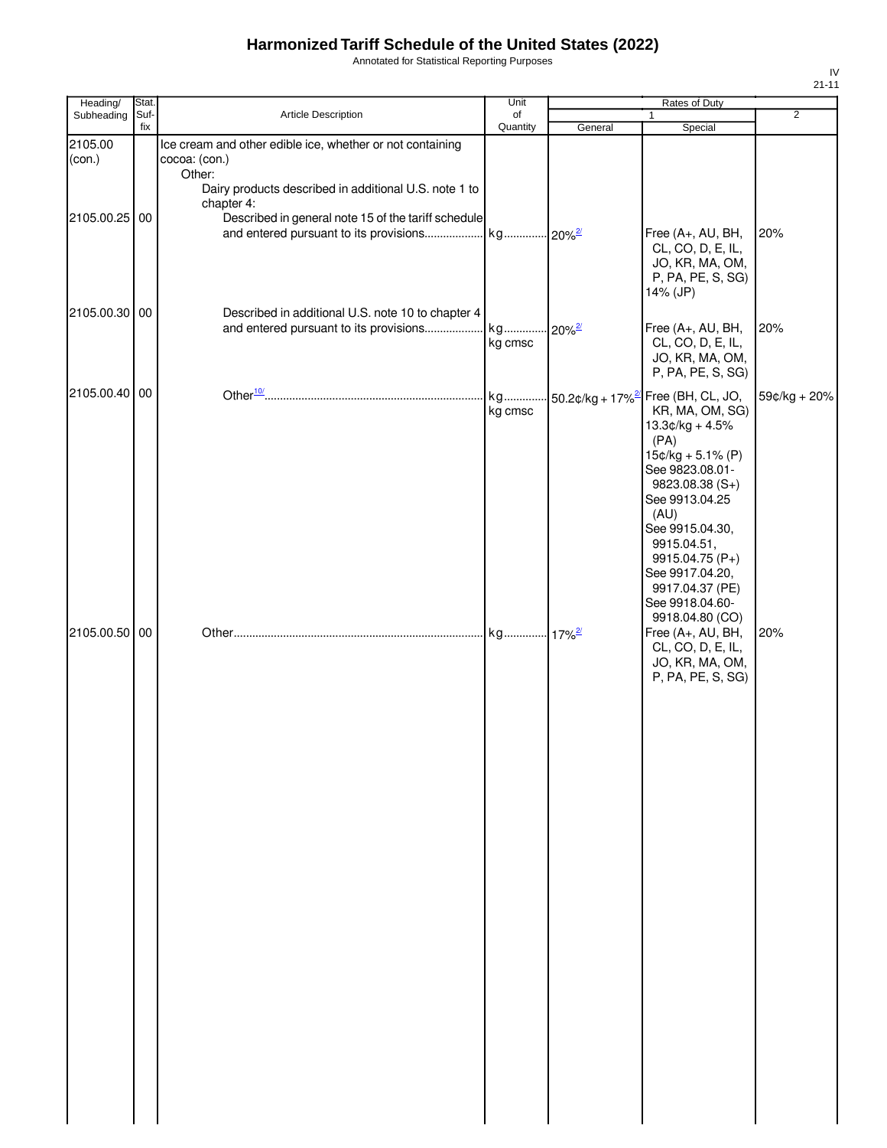Annotated for Statistical Reporting Purposes

| Heading/          | Stat.       |                                                                                                                                                             | Unit           |                      | Rates of Duty                                                                                                                                                                                                                                                        |                |
|-------------------|-------------|-------------------------------------------------------------------------------------------------------------------------------------------------------------|----------------|----------------------|----------------------------------------------------------------------------------------------------------------------------------------------------------------------------------------------------------------------------------------------------------------------|----------------|
| Subheading        | Suf-<br>fix | Article Description                                                                                                                                         | of<br>Quantity | General              | 1<br>Special                                                                                                                                                                                                                                                         | $\overline{2}$ |
| 2105.00<br>(con.) |             | Ice cream and other edible ice, whether or not containing<br>cocoa: (con.)<br>Other:<br>Dairy products described in additional U.S. note 1 to<br>chapter 4: |                |                      |                                                                                                                                                                                                                                                                      |                |
| 2105.00.25 00     |             | Described in general note 15 of the tariff schedule                                                                                                         |                |                      | Free (A+, AU, BH,<br>CL, CO, D, E, IL,<br>JO, KR, MA, OM,<br>P, PA, PE, S, SG)<br>14% (JP)                                                                                                                                                                           | 20%            |
| 2105.00.30 00     |             | Described in additional U.S. note 10 to chapter 4<br>and entered pursuant to its provisions kg                                                              | kg cmsc        | $20\%$ <sup>2/</sup> | Free (A+, AU, BH,<br>CL, CO, D, E, IL,<br>JO, KR, MA, OM,<br>P, PA, PE, S, SG)                                                                                                                                                                                       | 20%            |
| 2105.00.40 00     |             |                                                                                                                                                             |                |                      | kg 50.2¢/kg + 17% <sup>2/</sup> Free (BH, CL, JO,                                                                                                                                                                                                                    | 59¢/kg + 20%   |
|                   |             |                                                                                                                                                             | kg cmsc        |                      | KR, MA, OM, SG)<br>$13.3¢/kg + 4.5%$<br>(PA)<br>$15¢/kg + 5.1% (P)$<br>See 9823.08.01-<br>9823.08.38 (S+)<br>See 9913.04.25<br>(AU)<br>See 9915.04.30,<br>9915.04.51,<br>9915.04.75 (P+)<br>See 9917.04.20,<br>9917.04.37 (PE)<br>See 9918.04.60-<br>9918.04.80 (CO) |                |
| 2105.00.50 00     |             |                                                                                                                                                             |                |                      | Free (A+, AU, BH,<br>CL, CO, D, E, IL,<br>JO, KR, MA, OM,<br>P, PA, PE, S, SG)                                                                                                                                                                                       | 20%            |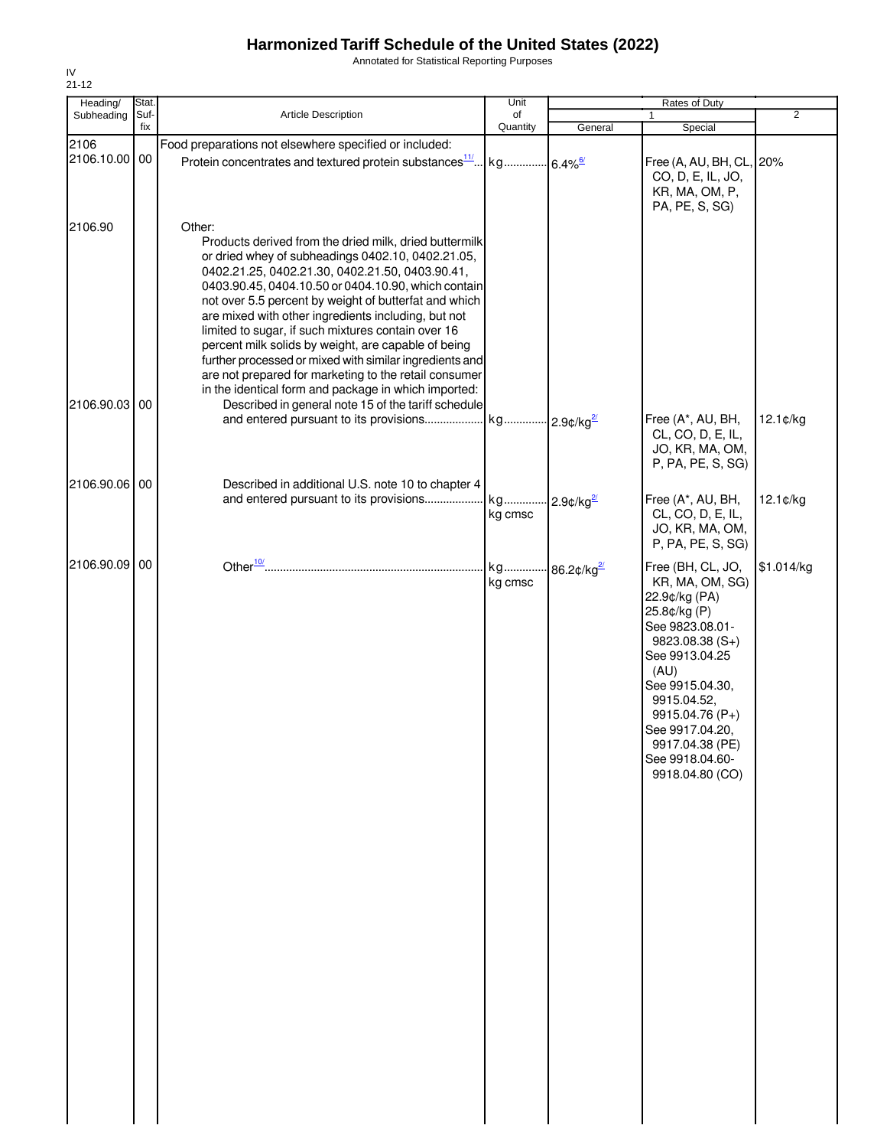Annotated for Statistical Reporting Purposes

| Heading/              | Stat. |                                                                                                                                                                                                                                                                                                                                                                                                                                                                                                                                                                                                                                          | Unit          |                                  | Rates of Duty                                                                                                                                                                                                                                                          |                |
|-----------------------|-------|------------------------------------------------------------------------------------------------------------------------------------------------------------------------------------------------------------------------------------------------------------------------------------------------------------------------------------------------------------------------------------------------------------------------------------------------------------------------------------------------------------------------------------------------------------------------------------------------------------------------------------------|---------------|----------------------------------|------------------------------------------------------------------------------------------------------------------------------------------------------------------------------------------------------------------------------------------------------------------------|----------------|
| Subheading            | Suf-  | <b>Article Description</b>                                                                                                                                                                                                                                                                                                                                                                                                                                                                                                                                                                                                               | of            |                                  | 1                                                                                                                                                                                                                                                                      | $\overline{2}$ |
|                       | fix   |                                                                                                                                                                                                                                                                                                                                                                                                                                                                                                                                                                                                                                          | Quantity      | General                          | Special                                                                                                                                                                                                                                                                |                |
| 2106<br>2106.10.00 00 |       | Food preparations not elsewhere specified or included:<br>Protein concentrates and textured protein substances <sup>11</sup>                                                                                                                                                                                                                                                                                                                                                                                                                                                                                                             | kg            | $6.4\%$ <sup>6/</sup>            | Free (A, AU, BH, CL,                                                                                                                                                                                                                                                   | 20%            |
|                       |       |                                                                                                                                                                                                                                                                                                                                                                                                                                                                                                                                                                                                                                          |               |                                  | CO, D, E, IL, JO,<br>KR, MA, OM, P,<br>PA, PE, S, SG)                                                                                                                                                                                                                  |                |
| 2106.90               |       | Other:<br>Products derived from the dried milk, dried buttermilk<br>or dried whey of subheadings 0402.10, 0402.21.05,<br>0402.21.25, 0402.21.30, 0402.21.50, 0403.90.41,<br>0403.90.45, 0404.10.50 or 0404.10.90, which contain<br>not over 5.5 percent by weight of butterfat and which<br>are mixed with other ingredients including, but not<br>limited to sugar, if such mixtures contain over 16<br>percent milk solids by weight, are capable of being<br>further processed or mixed with similar ingredients and<br>are not prepared for marketing to the retail consumer<br>in the identical form and package in which imported: |               |                                  |                                                                                                                                                                                                                                                                        |                |
| 2106.90.03 00         |       | Described in general note 15 of the tariff schedule<br>and entered pursuant to its provisions                                                                                                                                                                                                                                                                                                                                                                                                                                                                                                                                            | kg            | $-2.9$ ¢/kg $\frac{2}{3}$        | Free (A*, AU, BH,<br>CL, CO, D, E, IL,<br>JO, KR, MA, OM,<br>P, PA, PE, S, SG)                                                                                                                                                                                         | 12.1¢/kg       |
| 2106.90.06 00         |       | Described in additional U.S. note 10 to chapter 4                                                                                                                                                                                                                                                                                                                                                                                                                                                                                                                                                                                        |               |                                  |                                                                                                                                                                                                                                                                        |                |
|                       |       | and entered pursuant to its provisions                                                                                                                                                                                                                                                                                                                                                                                                                                                                                                                                                                                                   | kg<br>kg cmsc | $2.9$ ¢/kg $\frac{27}{2}$        | Free (A*, AU, BH,<br>CL, CO, D, E, IL,<br>JO, KR, MA, OM,<br>P, PA, PE, S, SG)                                                                                                                                                                                         | 12.1¢/kg       |
| 2106.90.09 00         |       |                                                                                                                                                                                                                                                                                                                                                                                                                                                                                                                                                                                                                                          | kg<br>kg cmsc | 86.2 $\mathcal{L}/\mathrm{kg}^2$ | Free (BH, CL, JO,<br>KR, MA, OM, SG)<br>22.9¢/kg (PA)<br>25.8¢/kg (P)<br>See 9823.08.01-<br>9823.08.38 (S+)<br>See 9913.04.25<br>(AU)<br>See 9915.04.30,<br>9915.04.52,<br>9915.04.76 (P+)<br>See 9917.04.20,<br>9917.04.38 (PE)<br>See 9918.04.60-<br>9918.04.80 (CO) | \$1.014/kg     |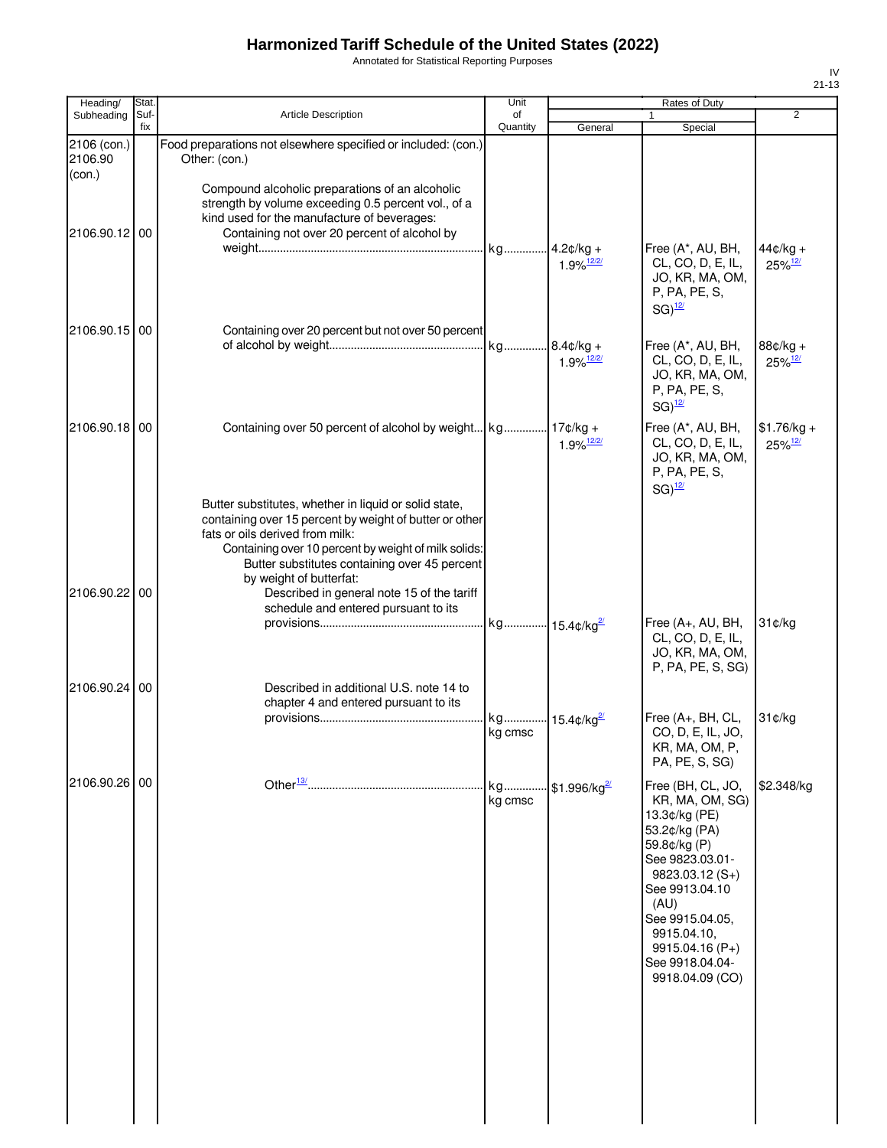Annotated for Statistical Reporting Purposes

| Heading/                         | Stat.       |                                                                                                                                                                                                                                                                                                                                                                               | Unit           |                                          | Rates of Duty                                                                                                                                                                                                                                       |                                       |
|----------------------------------|-------------|-------------------------------------------------------------------------------------------------------------------------------------------------------------------------------------------------------------------------------------------------------------------------------------------------------------------------------------------------------------------------------|----------------|------------------------------------------|-----------------------------------------------------------------------------------------------------------------------------------------------------------------------------------------------------------------------------------------------------|---------------------------------------|
| Subheading                       | Suf-<br>fix | <b>Article Description</b>                                                                                                                                                                                                                                                                                                                                                    | of<br>Quantity | General                                  | 1<br>Special                                                                                                                                                                                                                                        | $\overline{2}$                        |
| 2106 (con.)<br>2106.90<br>(con.) |             | Food preparations not elsewhere specified or included: (con.)<br>Other: (con.)                                                                                                                                                                                                                                                                                                |                |                                          |                                                                                                                                                                                                                                                     |                                       |
| 2106.90.12 00                    |             | Compound alcoholic preparations of an alcoholic<br>strength by volume exceeding 0.5 percent vol., of a<br>kind used for the manufacture of beverages:<br>Containing not over 20 percent of alcohol by                                                                                                                                                                         | kg             | $.4.2¢/kg +$<br>$1.9\%$ <sup>12/2/</sup> | Free (A*, AU, BH,<br>CL, CO, D, E, IL,                                                                                                                                                                                                              | $44¢/kg +$<br>$25\%$ <sup>12/</sup>   |
| 2106.90.15 00                    |             | Containing over 20 percent but not over 50 percent                                                                                                                                                                                                                                                                                                                            |                |                                          | JO, KR, MA, OM,<br>P, PA, PE, S,<br>$SG)$ <sup>12/</sup>                                                                                                                                                                                            |                                       |
|                                  |             |                                                                                                                                                                                                                                                                                                                                                                               | kg             | $8.4¢/kg +$<br>$1.9\%$ <sup>12/2/</sup>  | Free (A*, AU, BH,<br>CL, CO, D, E, IL,<br>JO, KR, MA, OM,<br>P, PA, PE, S,<br>$SG)$ <sup>12/</sup>                                                                                                                                                  | 88¢/kg +<br>$25\%$ <sup>12/</sup>     |
| 2106.90.18 00                    |             |                                                                                                                                                                                                                                                                                                                                                                               |                | $1.9\%$ <sup>12/2/</sup>                 | Free (A*, AU, BH,<br>CL, CO, D, E, IL,<br>JO, KR, MA, OM,<br>P, PA, PE, S,<br>$SG)$ <sup>12/</sup>                                                                                                                                                  | $$1.76/kg +$<br>$25\%$ <sup>12/</sup> |
| 2106.90.22 00                    |             | Butter substitutes, whether in liquid or solid state,<br>containing over 15 percent by weight of butter or other<br>fats or oils derived from milk:<br>Containing over 10 percent by weight of milk solids:<br>Butter substitutes containing over 45 percent<br>by weight of butterfat:<br>Described in general note 15 of the tariff<br>schedule and entered pursuant to its |                |                                          |                                                                                                                                                                                                                                                     |                                       |
|                                  |             |                                                                                                                                                                                                                                                                                                                                                                               | kg 15.4¢/kg2   |                                          | Free (A+, AU, BH,<br>CL, CO, D, E, IL,<br>JO, KR, MA, OM,<br>P, PA, PE, S, SG)                                                                                                                                                                      | 31¢/kg                                |
| 2106.90.24 00                    |             | Described in additional U.S. note 14 to<br>chapter 4 and entered pursuant to its                                                                                                                                                                                                                                                                                              | kg<br>kg cmsc  | $\cdot$ 15.4¢/kg <sup>2/</sup>           | Free (A+, BH, CL,<br>CO, D, E, IL, JO,<br>KR, MA, OM, P,<br>PA, PE, S, SG)                                                                                                                                                                          | 31¢/kg                                |
| 2106.90.26 00                    |             |                                                                                                                                                                                                                                                                                                                                                                               | kg<br>kg cmsc  | \$1.996/kg $^{27}$                       | Free (BH, CL, JO,<br>KR, MA, OM, SG)<br>13.3¢/kg (PE)<br>53.2¢/kg (PA)<br>59.8¢/kg (P)<br>See 9823.03.01-<br>$9823.03.12(S+)$<br>See 9913.04.10<br>(AU)<br>See 9915.04.05,<br>9915.04.10,<br>$9915.04.16(P+)$<br>See 9918.04.04-<br>9918.04.09 (CO) | \$2.348/kg                            |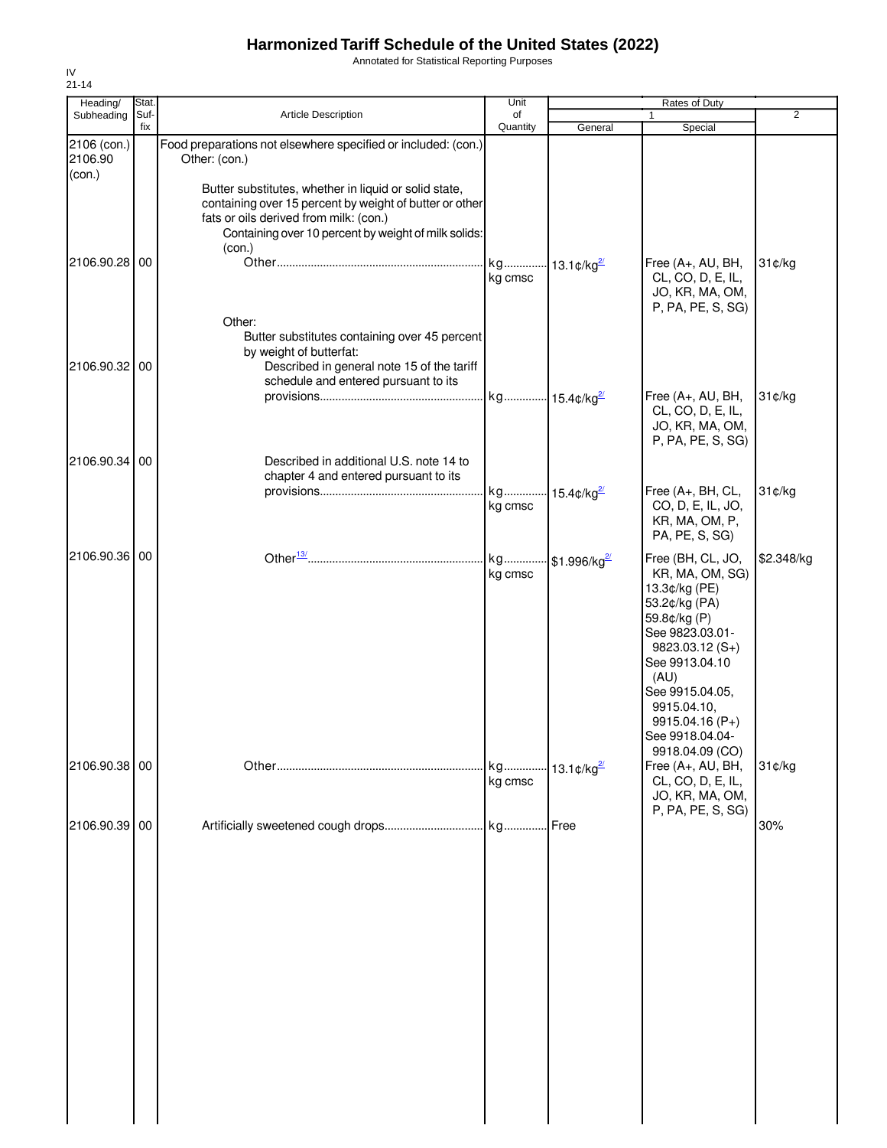Annotated for Statistical Reporting Purposes

| Heading/                         | Stat.       |                                                                                                                                                                                                                              | Unit                                 |                             | Rates of Duty                                                                                                                                                                                                                                      |                |
|----------------------------------|-------------|------------------------------------------------------------------------------------------------------------------------------------------------------------------------------------------------------------------------------|--------------------------------------|-----------------------------|----------------------------------------------------------------------------------------------------------------------------------------------------------------------------------------------------------------------------------------------------|----------------|
| Subheading                       | Suf-<br>fix | Article Description                                                                                                                                                                                                          | of<br>Quantity                       | General                     | $\mathbf{1}$<br>Special                                                                                                                                                                                                                            | $\overline{2}$ |
| 2106 (con.)<br>2106.90<br>(con.) |             | Food preparations not elsewhere specified or included: (con.)<br>Other: (con.)                                                                                                                                               |                                      |                             |                                                                                                                                                                                                                                                    |                |
| 2106.90.28 00                    |             | Butter substitutes, whether in liquid or solid state,<br>containing over 15 percent by weight of butter or other<br>fats or oils derived from milk: (con.)<br>Containing over 10 percent by weight of milk solids:<br>(con.) | kg 13.1¢/kg <sup>2/</sup><br>kg cmsc |                             | Free (A+, AU, BH,<br>CL, CO, D, E, IL,                                                                                                                                                                                                             | 31¢/kg         |
|                                  |             | Other:<br>Butter substitutes containing over 45 percent                                                                                                                                                                      |                                      |                             | JO, KR, MA, OM,<br>P, PA, PE, S, SG)                                                                                                                                                                                                               |                |
| 2106.90.32 00                    |             | by weight of butterfat:<br>Described in general note 15 of the tariff<br>schedule and entered pursuant to its                                                                                                                |                                      |                             | Free (A+, AU, BH,<br>CL, CO, D, E, IL,                                                                                                                                                                                                             | 31¢/kg         |
| 2106.90.34 00                    |             | Described in additional U.S. note 14 to                                                                                                                                                                                      |                                      |                             | JO, KR, MA, OM,<br>P, PA, PE, S, SG)                                                                                                                                                                                                               |                |
|                                  |             | chapter 4 and entered pursuant to its                                                                                                                                                                                        | kg<br>kg cmsc                        | 15.4 $\frac{a}{2}$          | Free (A+, BH, CL,<br>CO, D, E, IL, JO,<br>KR, MA, OM, P,<br>PA, PE, S, SG)                                                                                                                                                                         | 31¢/kg         |
| 2106.90.36 00                    |             |                                                                                                                                                                                                                              | kg cmsc                              | kg \$1.996/kg <sup>2/</sup> | Free (BH, CL, JO,<br>KR, MA, OM, SG)<br>13.3¢/kg (PE)<br>53.2¢/kg (PA)<br>59.8¢/kg (P)<br>See 9823.03.01-<br>$9823.03.12(S+)$<br>See 9913.04.10<br>(AU)<br>See 9915.04.05,<br>9915.04.10,<br>9915.04.16 (P+)<br>See 9918.04.04-<br>9918.04.09 (CO) | \$2.348/kg     |
| 2106.90.38 00                    |             |                                                                                                                                                                                                                              | kg cmsc                              |                             | Free (A+, AU, BH,<br>CL, CO, D, E, IL,<br>JO, KR, MA, OM,<br>P, PA, PE, S, SG)                                                                                                                                                                     | 31¢/kg         |
| 2106.90.39 00                    |             |                                                                                                                                                                                                                              |                                      | Free                        |                                                                                                                                                                                                                                                    | 30%            |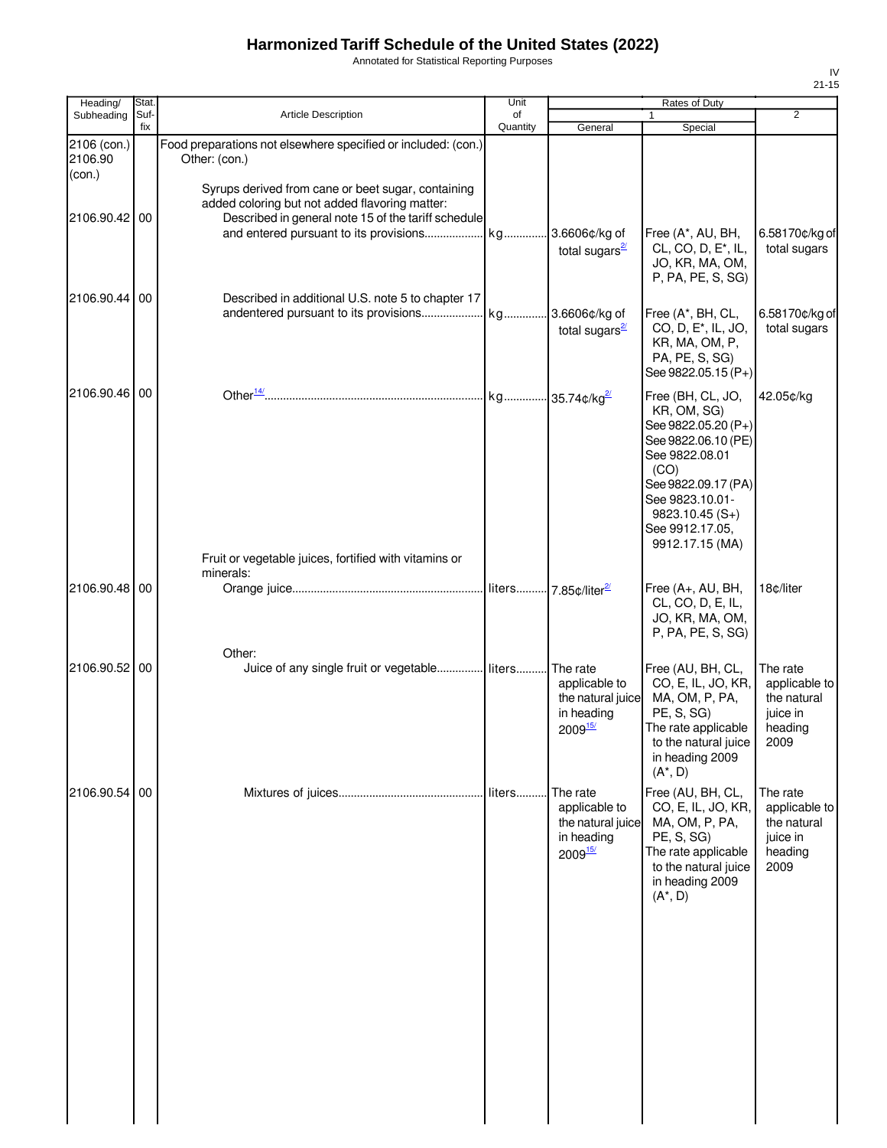Annotated for Statistical Reporting Purposes

| Heading/                         | Stat.       |                                                                                                                                                                                                          | Unit           |                                                                                       | Rates of Duty                                                                                                                                                                                                |                                                                         |
|----------------------------------|-------------|----------------------------------------------------------------------------------------------------------------------------------------------------------------------------------------------------------|----------------|---------------------------------------------------------------------------------------|--------------------------------------------------------------------------------------------------------------------------------------------------------------------------------------------------------------|-------------------------------------------------------------------------|
| Subheading                       | Suf-<br>fix | Article Description                                                                                                                                                                                      | of<br>Quantity | General                                                                               | 1<br>Special                                                                                                                                                                                                 | $\overline{2}$                                                          |
| 2106 (con.)<br>2106.90<br>(con.) |             | Food preparations not elsewhere specified or included: (con.)<br>Other: (con.)                                                                                                                           |                |                                                                                       |                                                                                                                                                                                                              |                                                                         |
| 2106.90.42 00                    |             | Syrups derived from cane or beet sugar, containing<br>added coloring but not added flavoring matter:<br>Described in general note 15 of the tariff schedule<br>and entered pursuant to its provisions kg |                | .3.6606¢/kg of<br>total sugars $\frac{2}{3}$                                          | Free (A*, AU, BH,<br>CL, CO, D, E <sup>*</sup> , IL,<br>JO, KR, MA, OM,<br>P, PA, PE, S, SG)                                                                                                                 | 6.58170¢/kg of<br>total sugars                                          |
| 2106.90.44                       | 00          | Described in additional U.S. note 5 to chapter 17                                                                                                                                                        |                | 3.6606¢/kg of<br>total sugars $\frac{2}{3}$                                           | Free (A*, BH, CL,<br>CO, D, E <sup>*</sup> , IL, JO,<br>KR, MA, OM, P,<br>PA, PE, S, SG)<br>See 9822.05.15 (P+)                                                                                              | 6.58170¢/kg of<br>total sugars                                          |
| 2106.90.46 00                    |             | Fruit or vegetable juices, fortified with vitamins or                                                                                                                                                    |                |                                                                                       | Free (BH, CL, JO,<br>KR, OM, SG)<br>See 9822.05.20 (P+)<br>See 9822.06.10 (PE)<br>See 9822.08.01<br>(CO)<br>See 9822.09.17 (PA)<br>See 9823.10.01-<br>$9823.10.45(S+)$<br>See 9912.17.05,<br>9912.17.15 (MA) | 42.05¢/kg                                                               |
| 2106.90.48 00                    |             | minerals:                                                                                                                                                                                                |                |                                                                                       | Free (A+, AU, BH,<br>CL, CO, D, E, IL,<br>JO, KR, MA, OM,<br>P, PA, PE, S, SG)                                                                                                                               | 18¢/liter                                                               |
| 2106.90.52 00                    |             | Other:<br>Juice of any single fruit or vegetable liters                                                                                                                                                  |                | The rate<br>applicable to<br>the natural juice<br>in heading<br>$2009^{\frac{15}{2}}$ | Free (AU, BH, CL,<br>CO, E, IL, JO, KR,<br>MA, OM, P, PA,<br>PE, S, SG)<br>The rate applicable<br>to the natural juice<br>in heading 2009<br>$(A^*, D)$                                                      | The rate<br>applicable to<br>the natural<br>juice in<br>heading<br>2009 |
| 2106.90.54 00                    |             |                                                                                                                                                                                                          | liters         | The rate<br>applicable to<br>the natural juice<br>in heading<br>$2009_{15}^{15/2}$    | Free (AU, BH, CL,<br>CO, E, IL, JO, KR,<br>MA, OM, P, PA,<br>PE, S, SG)<br>The rate applicable<br>to the natural juice<br>in heading 2009<br>$(A^*, D)$                                                      | The rate<br>applicable to<br>the natural<br>juice in<br>heading<br>2009 |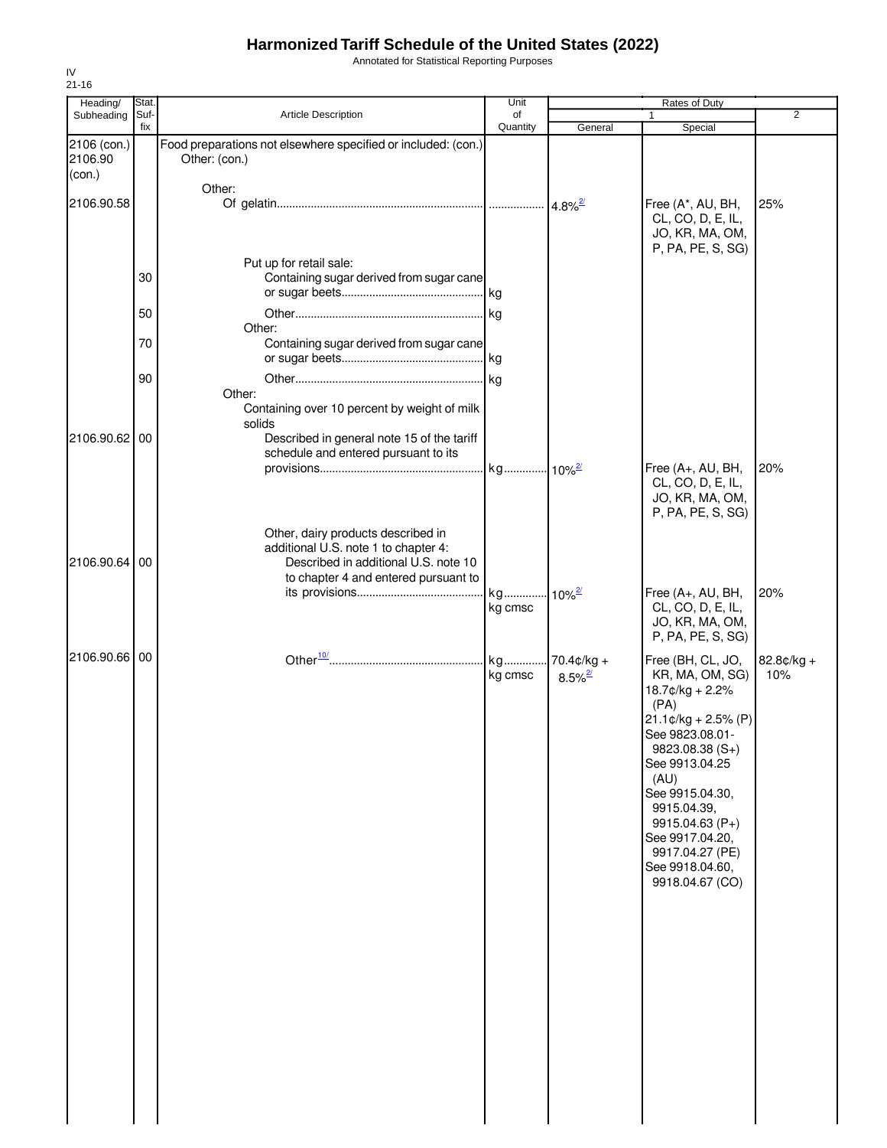Annotated for Statistical Reporting Purposes

| Heading/                         | Stat.       |                                                                                                                                                            | Unit                            |                                        | Rates of Duty                                                                                                                                                                                                                                                                               |                   |
|----------------------------------|-------------|------------------------------------------------------------------------------------------------------------------------------------------------------------|---------------------------------|----------------------------------------|---------------------------------------------------------------------------------------------------------------------------------------------------------------------------------------------------------------------------------------------------------------------------------------------|-------------------|
| Subheading                       | Suf-<br>fix | Article Description                                                                                                                                        | of<br>Quantity                  | General                                | 1<br>Special                                                                                                                                                                                                                                                                                | 2                 |
| 2106 (con.)<br>2106.90<br>(con.) |             | Food preparations not elsewhere specified or included: (con.)<br>Other: (con.)                                                                             |                                 |                                        |                                                                                                                                                                                                                                                                                             |                   |
| 2106.90.58                       |             | Other:                                                                                                                                                     |                                 |                                        | Free (A*, AU, BH,<br>CL, CO, D, E, IL,<br>JO, KR, MA, OM,<br>P, PA, PE, S, SG)                                                                                                                                                                                                              | 25%               |
|                                  | 30          | Put up for retail sale:<br>Containing sugar derived from sugar cane                                                                                        |                                 |                                        |                                                                                                                                                                                                                                                                                             |                   |
|                                  | 50          | Other:                                                                                                                                                     |                                 |                                        |                                                                                                                                                                                                                                                                                             |                   |
|                                  | 70          | Containing sugar derived from sugar cane                                                                                                                   |                                 |                                        |                                                                                                                                                                                                                                                                                             |                   |
|                                  | 90          | Other:<br>Containing over 10 percent by weight of milk                                                                                                     |                                 |                                        |                                                                                                                                                                                                                                                                                             |                   |
| 2106.90.62 00                    |             | solids<br>Described in general note 15 of the tariff<br>schedule and entered pursuant to its                                                               |                                 |                                        | Free (A+, AU, BH,                                                                                                                                                                                                                                                                           | 20%               |
|                                  |             |                                                                                                                                                            |                                 |                                        | CL, CO, D, E, IL,<br>JO, KR, MA, OM,<br>P, PA, PE, S, SG)                                                                                                                                                                                                                                   |                   |
| 2106.90.64 00                    |             | Other, dairy products described in<br>additional U.S. note 1 to chapter 4:<br>Described in additional U.S. note 10<br>to chapter 4 and entered pursuant to |                                 |                                        |                                                                                                                                                                                                                                                                                             |                   |
|                                  |             |                                                                                                                                                            | kg 10% <sup>2/</sup><br>kg cmsc |                                        | Free (A+, AU, BH,<br>CL, CO, D, E, IL,<br>JO, KR, MA, OM,<br>P, PA, PE, S, SG)                                                                                                                                                                                                              | 20%               |
| 2106.90.66 00                    |             |                                                                                                                                                            | kg<br>kg cmsc                   | $70.4$ ¢/kg +<br>$8.5\%$ <sup>2/</sup> | Free (BH, CL, JO,<br>KR, MA, OM, SG)<br>18.7¢/kg + 2.2%<br>(PA)<br>$21.1$ ¢/kg + 2.5% (P)<br>See 9823.08.01-<br>9823.08.38 (S+)<br>See 9913.04.25<br>(AU)<br>See 9915.04.30,<br>9915.04.39,<br>$9915.04.63(P+)$<br>See 9917.04.20,<br>9917.04.27 (PE)<br>See 9918.04.60,<br>9918.04.67 (CO) | 82.8¢/kg +<br>10% |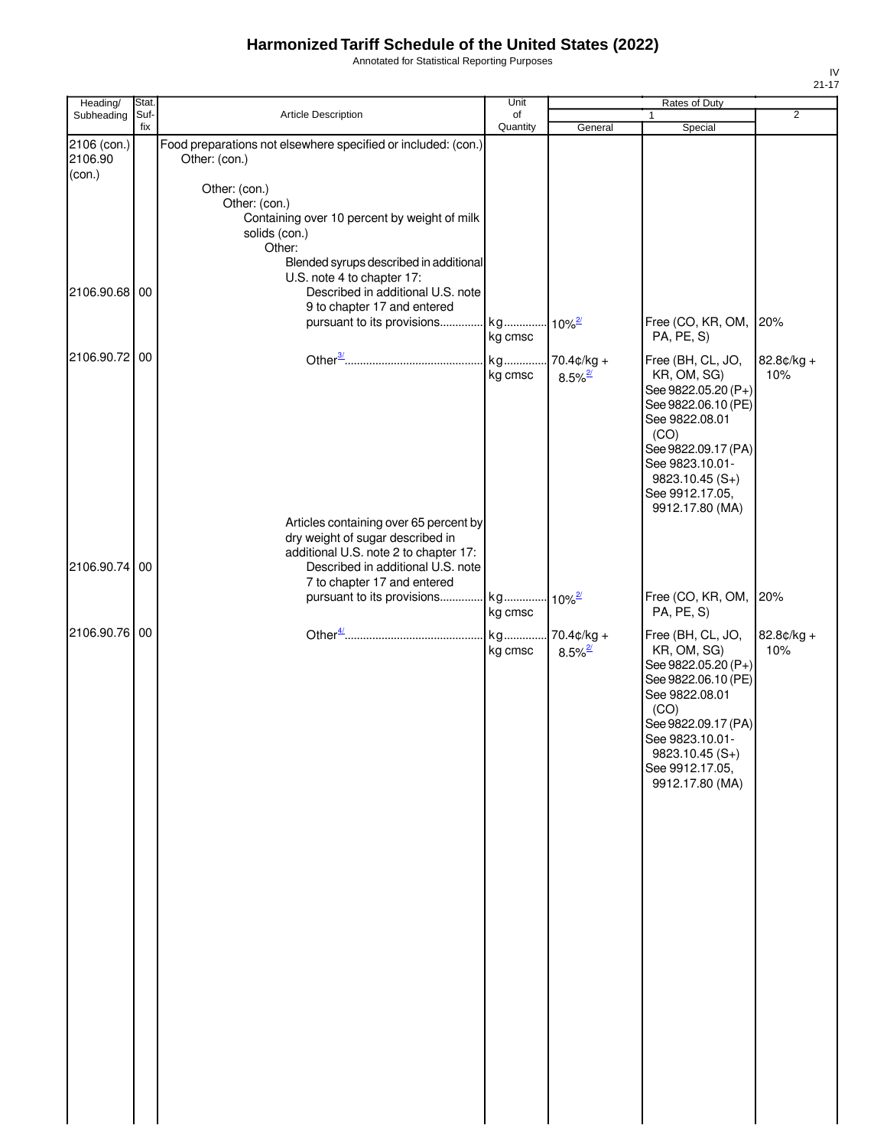Annotated for Statistical Reporting Purposes

| Heading/               | Stat.       |                                                                                                                                                                                                                       | Unit           |                                       | Rates of Duty                                                                                                                                                                                                |                   |
|------------------------|-------------|-----------------------------------------------------------------------------------------------------------------------------------------------------------------------------------------------------------------------|----------------|---------------------------------------|--------------------------------------------------------------------------------------------------------------------------------------------------------------------------------------------------------------|-------------------|
| Subheading             | Suf-<br>fix | Article Description                                                                                                                                                                                                   | of<br>Quantity | General                               | Special                                                                                                                                                                                                      | $\overline{2}$    |
| 2106 (con.)<br>2106.90 |             | Food preparations not elsewhere specified or included: (con.)<br>Other: (con.)                                                                                                                                        |                |                                       |                                                                                                                                                                                                              |                   |
| (con.)                 |             | Other: (con.)<br>Other: (con.)<br>Containing over 10 percent by weight of milk<br>solids (con.)<br>Other:<br>Blended syrups described in additional<br>U.S. note 4 to chapter 17:                                     |                |                                       |                                                                                                                                                                                                              |                   |
| 2106.90.68 00          |             | Described in additional U.S. note<br>9 to chapter 17 and entered<br>pursuant to its provisions                                                                                                                        | kg             | $-10\%$ <sup>2/</sup>                 | Free (CO, KR, OM, 20%                                                                                                                                                                                        |                   |
|                        |             |                                                                                                                                                                                                                       | kg cmsc        |                                       | PA, PE, S)                                                                                                                                                                                                   |                   |
| 2106.90.72 00          |             |                                                                                                                                                                                                                       | kg<br>kg cmsc  | $70.4¢/kg +$<br>$8.5\%$ <sup>2/</sup> | Free (BH, CL, JO,<br>KR, OM, SG)<br>See 9822.05.20 (P+)<br>See 9822.06.10 (PE)<br>See 9822.08.01<br>(CO)<br>See 9822.09.17 (PA)<br>See 9823.10.01-<br>9823.10.45 (S+)<br>See 9912.17.05,<br>9912.17.80 (MA)  | 82.8¢/kg +<br>10% |
| 2106.90.74             | 00          | Articles containing over 65 percent by<br>dry weight of sugar described in<br>additional U.S. note 2 to chapter 17:<br>Described in additional U.S. note<br>7 to chapter 17 and entered<br>pursuant to its provisions | kg             | $-10\%$ <sup>2/</sup>                 | Free (CO, KR, OM,                                                                                                                                                                                            | 20%               |
|                        |             |                                                                                                                                                                                                                       | kg cmsc        |                                       | PA, PE, S)                                                                                                                                                                                                   |                   |
| 2106.90.76 00          |             |                                                                                                                                                                                                                       | kg<br>kg cmsc  | 70.4¢/kg +<br>$8.5\%$ <sup>2/</sup>   | Free (BH, CL, JO,<br>KR, OM, SG)<br>See 9822.05.20 (P+)<br>See 9822.06.10 (PE)<br>See 9822.08.01<br>(CO)<br>See 9822.09.17 (PA)<br>See 9823.10.01-<br>$9823.10.45(S+)$<br>See 9912.17.05,<br>9912.17.80 (MA) | 82.8¢/kg +<br>10% |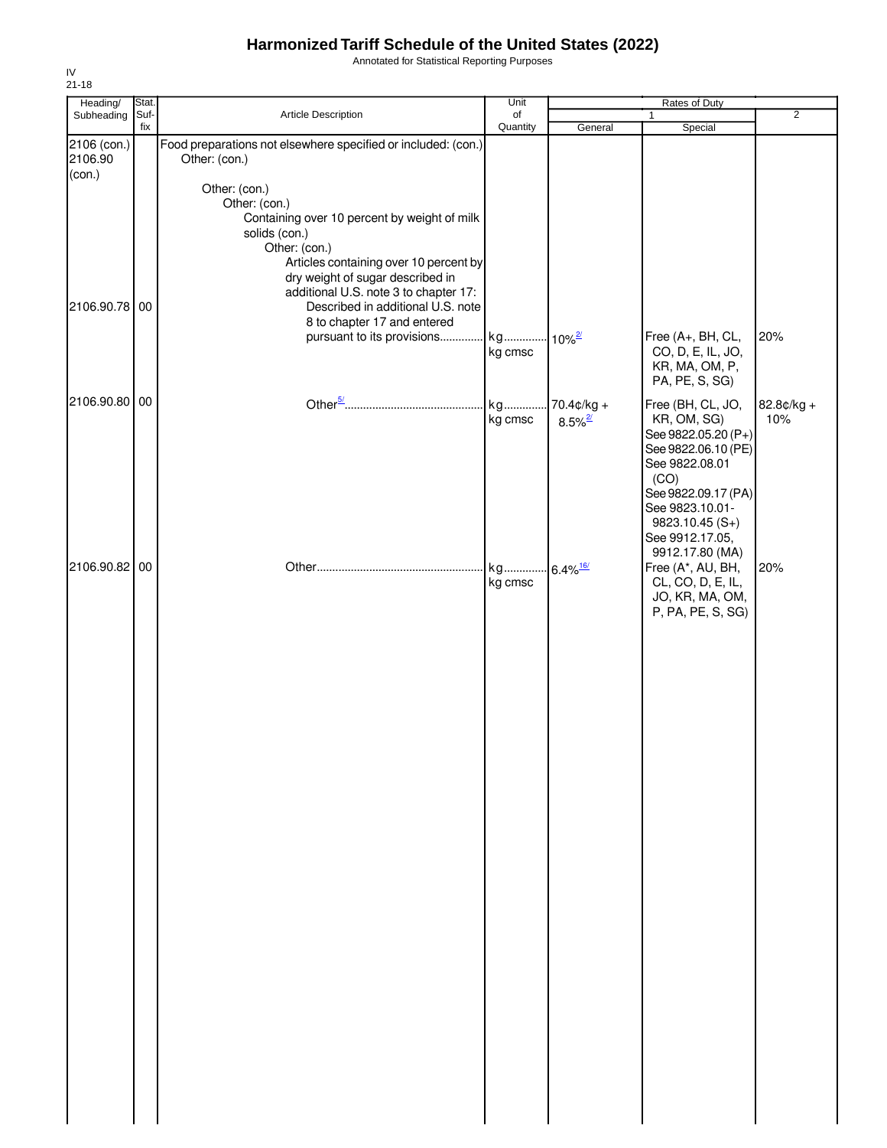Annotated for Statistical Reporting Purposes

| Stat. |                                                                                                                                                                                                                                                                   | Unit                |                                                                                           | Rates of Duty                                                                                                                                               |                                                                                                     |
|-------|-------------------------------------------------------------------------------------------------------------------------------------------------------------------------------------------------------------------------------------------------------------------|---------------------|-------------------------------------------------------------------------------------------|-------------------------------------------------------------------------------------------------------------------------------------------------------------|-----------------------------------------------------------------------------------------------------|
| fix   |                                                                                                                                                                                                                                                                   |                     |                                                                                           |                                                                                                                                                             | $\overline{2}$                                                                                      |
|       | Food preparations not elsewhere specified or included: (con.)<br>Other: (con.)                                                                                                                                                                                    |                     |                                                                                           |                                                                                                                                                             |                                                                                                     |
| 00    | Other: (con.)<br>Other: (con.)<br>Containing over 10 percent by weight of milk<br>solids (con.)<br>Other: (con.)<br>dry weight of sugar described in<br>additional U.S. note 3 to chapter 17:<br>Described in additional U.S. note<br>8 to chapter 17 and entered | kg cmsc             |                                                                                           | Free (A+, BH, CL,<br>CO, D, E, IL, JO,                                                                                                                      | 20%                                                                                                 |
|       |                                                                                                                                                                                                                                                                   |                     |                                                                                           | PA, PE, S, SG)                                                                                                                                              |                                                                                                     |
|       |                                                                                                                                                                                                                                                                   | kg<br>kg cmsc       | $8.5\%$ <sup>2/</sup>                                                                     | Free (BH, CL, JO,<br>KR, OM, SG)<br>See 9822.08.01<br>(CO)                                                                                                  | 82.8¢/kg +<br>10%                                                                                   |
| 00    |                                                                                                                                                                                                                                                                   | kg<br>kg cmsc       |                                                                                           | See 9823.10.01-<br>$9823.10.45(S+)$<br>See 9912.17.05,<br>9912.17.80 (MA)<br>Free (A*, AU, BH,<br>CL, CO, D, E, IL,<br>JO, KR, MA, OM,<br>P, PA, PE, S, SG) | 20%                                                                                                 |
|       |                                                                                                                                                                                                                                                                   |                     |                                                                                           |                                                                                                                                                             |                                                                                                     |
|       | Suf-<br>2106 (con.)<br>2106.90.78<br>2106.90.80 00<br>2106.90.82                                                                                                                                                                                                  | Article Description | of<br>Quantity<br>Articles containing over 10 percent by<br>pursuant to its provisions kg | General<br>$10\%$ <sup>2/</sup><br>$70.4¢/kg +$<br>$.6.4\%$ <sup>16/</sup>                                                                                  | 1<br>Special<br>KR, MA, OM, P,<br>See 9822.05.20 (P+)<br>See 9822.06.10 (PE)<br>See 9822.09.17 (PA) |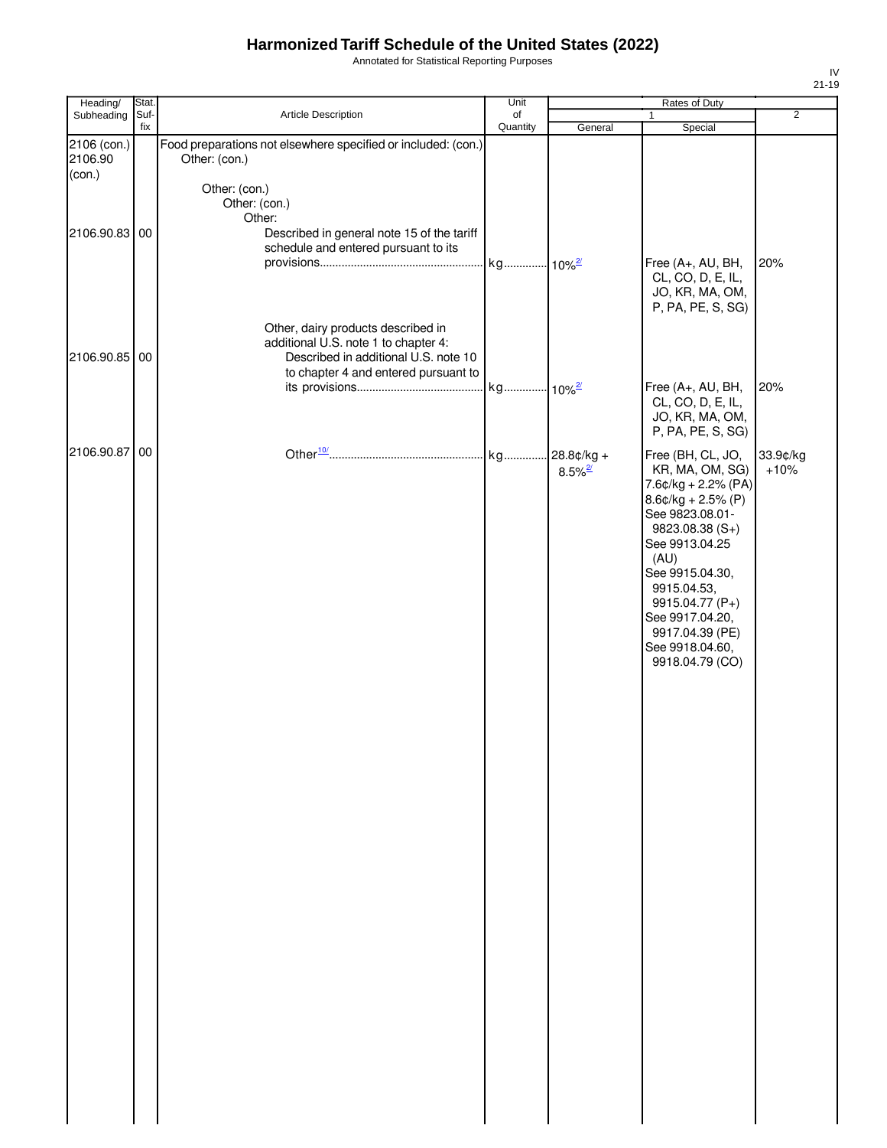Annotated for Statistical Reporting Purposes

| Heading/               | Stat.       |                                                                                                                                                            | Unit                 |                       | Rates of Duty                                                                                                                                                                                                                                                                            |                    |
|------------------------|-------------|------------------------------------------------------------------------------------------------------------------------------------------------------------|----------------------|-----------------------|------------------------------------------------------------------------------------------------------------------------------------------------------------------------------------------------------------------------------------------------------------------------------------------|--------------------|
| Subheading             | Suf-<br>fix | Article Description                                                                                                                                        | of<br>Quantity       | General               | Special                                                                                                                                                                                                                                                                                  | $\overline{2}$     |
| 2106 (con.)<br>2106.90 |             | Food preparations not elsewhere specified or included: (con.)<br>Other: (con.)                                                                             |                      |                       |                                                                                                                                                                                                                                                                                          |                    |
| (con.)                 |             | Other: (con.)<br>Other: (con.)<br>Other:                                                                                                                   |                      |                       |                                                                                                                                                                                                                                                                                          |                    |
| 2106.90.83 00          |             | Described in general note 15 of the tariff<br>schedule and entered pursuant to its                                                                         | kg 10% <sup>2/</sup> |                       | Free (A+, AU, BH,<br>CL, CO, D, E, IL,<br>JO, KR, MA, OM,<br>P, PA, PE, S, SG)                                                                                                                                                                                                           | 20%                |
| 2106.90.85 00          |             | Other, dairy products described in<br>additional U.S. note 1 to chapter 4:<br>Described in additional U.S. note 10<br>to chapter 4 and entered pursuant to | kg 10%2              |                       | Free (A+, AU, BH,                                                                                                                                                                                                                                                                        | 20%                |
|                        |             |                                                                                                                                                            |                      |                       | CL, CO, D, E, IL,<br>JO, KR, MA, OM,<br>P, PA, PE, S, SG)                                                                                                                                                                                                                                |                    |
| 2106.90.87             | 00          |                                                                                                                                                            | kg 28.8¢/kg +        | $8.5\%$ <sup>2/</sup> | Free (BH, CL, JO,<br>KR, MA, OM, SG)<br>$7.6¢/kg + 2.2% (PA)$<br>$8.6$ ¢/kg + 2.5% (P)<br>See 9823.08.01-<br>$9823.08.38(S+)$<br>See 9913.04.25<br>(AU)<br>See 9915.04.30,<br>9915.04.53,<br>9915.04.77 (P+)<br>See 9917.04.20,<br>9917.04.39 (PE)<br>See 9918.04.60,<br>9918.04.79 (CO) | 33.9¢/kg<br>$+10%$ |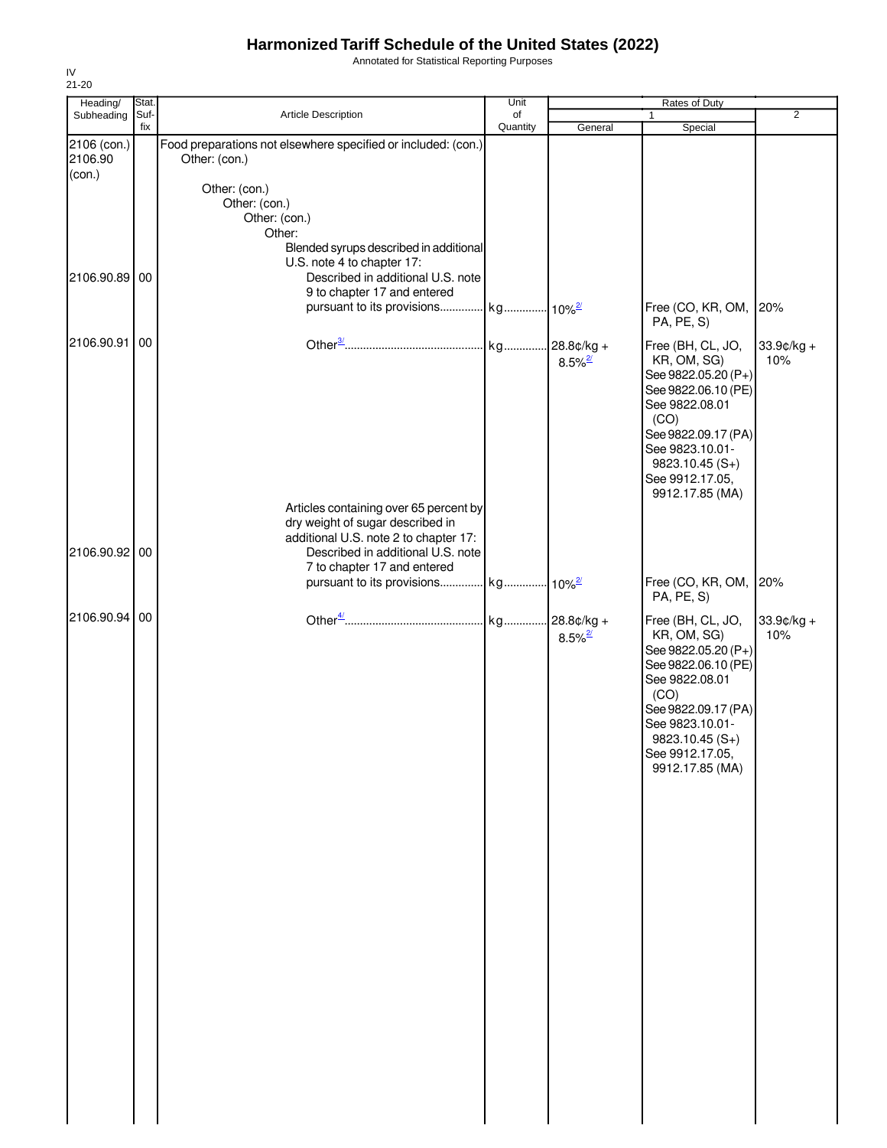Annotated for Statistical Reporting Purposes

| Heading/               | Stat.       |                                                                                                                                                                                                                                            | Unit           |                                       | Rates of Duty                                                                                                                                                                                                              |                   |
|------------------------|-------------|--------------------------------------------------------------------------------------------------------------------------------------------------------------------------------------------------------------------------------------------|----------------|---------------------------------------|----------------------------------------------------------------------------------------------------------------------------------------------------------------------------------------------------------------------------|-------------------|
| Subheading             | Suf-<br>fix | Article Description                                                                                                                                                                                                                        | of<br>Quantity | General                               | $\mathbf{1}$<br>Special                                                                                                                                                                                                    | $\overline{2}$    |
| 2106 (con.)<br>2106.90 |             | Food preparations not elsewhere specified or included: (con.)<br>Other: (con.)                                                                                                                                                             |                |                                       |                                                                                                                                                                                                                            |                   |
| (con.)                 |             | Other: (con.)<br>Other: (con.)<br>Other: (con.)<br>Other:<br>Blended syrups described in additional<br>U.S. note 4 to chapter 17:                                                                                                          |                |                                       |                                                                                                                                                                                                                            |                   |
| 2106.90.89 00          |             | Described in additional U.S. note<br>9 to chapter 17 and entered<br>pursuant to its provisions kg 10% <sup>2/</sup>                                                                                                                        |                |                                       | Free (CO, KR, OM,<br>PA, PE, S)                                                                                                                                                                                            | 20%               |
| 2106.90.91 00          |             |                                                                                                                                                                                                                                            |                | $28.8¢/kg +$<br>$8.5\%$ <sup>2/</sup> | Free (BH, CL, JO,<br>KR, OM, SG)<br>See 9822.05.20 (P+)<br>See 9822.06.10 (PE)<br>See 9822.08.01<br>(CO)<br>See 9822.09.17 (PA)<br>See 9823.10.01-<br>$9823.10.45(S+)$<br>See 9912.17.05,<br>9912.17.85 (MA)               | 33.9¢/kg +<br>10% |
| 2106.90.92 00          |             | Articles containing over 65 percent by<br>dry weight of sugar described in<br>additional U.S. note 2 to chapter 17:<br>Described in additional U.S. note<br>7 to chapter 17 and entered<br>pursuant to its provisions kg 10% <sup>2/</sup> |                |                                       | Free (CO, KR, OM,                                                                                                                                                                                                          | 20%               |
| 2106.90.94             | 00          |                                                                                                                                                                                                                                            |                | $8.5\%$ <sup>2/</sup>                 | PA, PE, S)<br>Free (BH, CL, JO,<br>KR, OM, SG)<br>See 9822.05.20 (P+)<br>See 9822.06.10 (PE)<br>See 9822.08.01<br>(CO)<br>See 9822.09.17 (PA)<br>See 9823.10.01-<br>$9823.10.45(S+)$<br>See 9912.17.05,<br>9912.17.85 (MA) | 33.9¢/kg +<br>10% |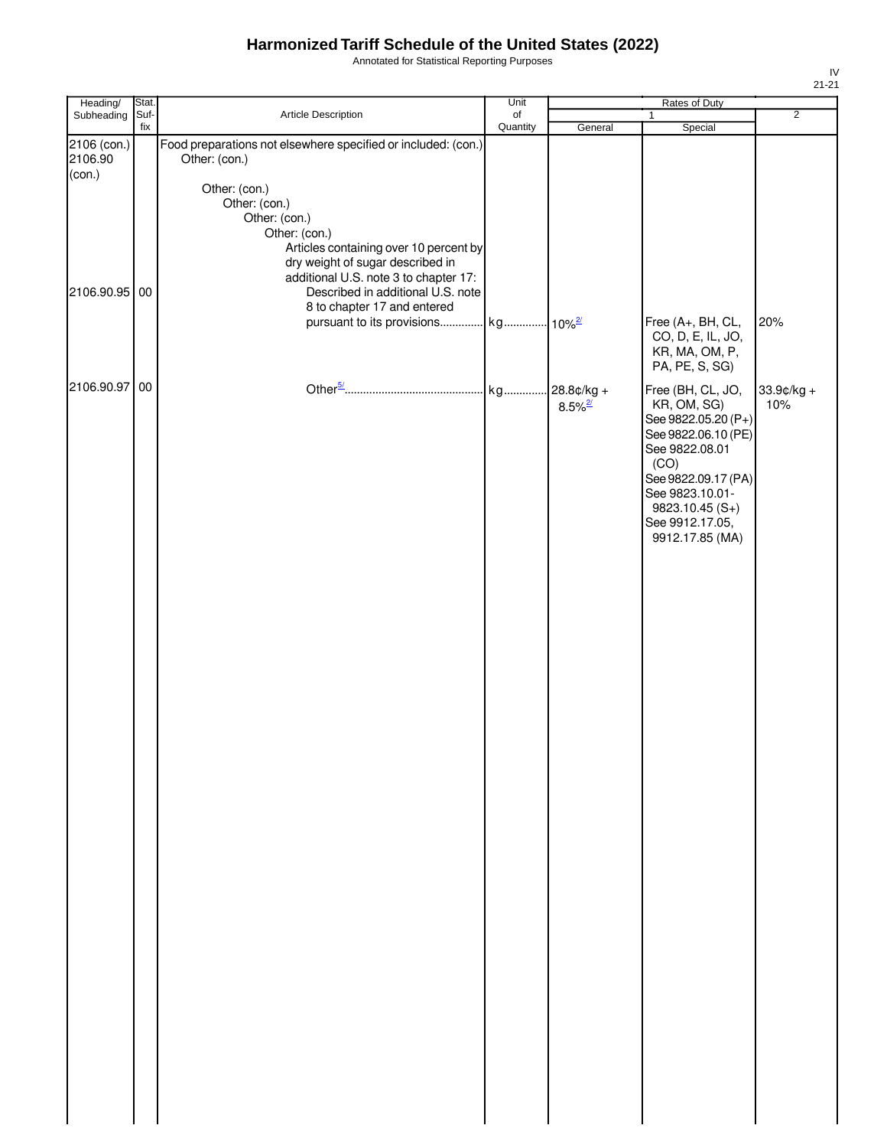Annotated for Statistical Reporting Purposes

| Subheading<br>Suf-<br>Article Description<br>of<br>Quantity<br>fix<br>General<br>Special<br>Food preparations not elsewhere specified or included: (con.)<br>2106 (con.)<br>2106.90<br>Other: (con.)<br>(con.)                                                                           | $\overline{2}$    |
|------------------------------------------------------------------------------------------------------------------------------------------------------------------------------------------------------------------------------------------------------------------------------------------|-------------------|
|                                                                                                                                                                                                                                                                                          |                   |
|                                                                                                                                                                                                                                                                                          |                   |
| Other: (con.)<br>Other: (con.)<br>Other: (con.)<br>Other: (con.)<br>Articles containing over 10 percent by<br>dry weight of sugar described in<br>additional U.S. note 3 to chapter 17:<br>Described in additional U.S. note<br>2106.90.95 00                                            |                   |
| 8 to chapter 17 and entered<br>pursuant to its provisions kg 10% <sup>2/</sup><br>Free (A+, BH, CL,<br>CO, D, E, IL, JO,<br>KR, MA, OM, P,                                                                                                                                               | 20%               |
| PA, PE, S, SG)<br>2106.90.97 00<br>Free (BH, CL, JO,<br>kg 28.8¢/kg +<br>KR, OM, SG)<br>$8.5\%$ <sup>2/</sup><br>See 9822.05.20 (P+)<br>See 9822.06.10 (PE)<br>See 9822.08.01<br>(CO)<br>See 9822.09.17 (PA)<br>See 9823.10.01-<br>9823.10.45 (S+)<br>See 9912.17.05,<br>9912.17.85 (MA) | 33.9¢/kg +<br>10% |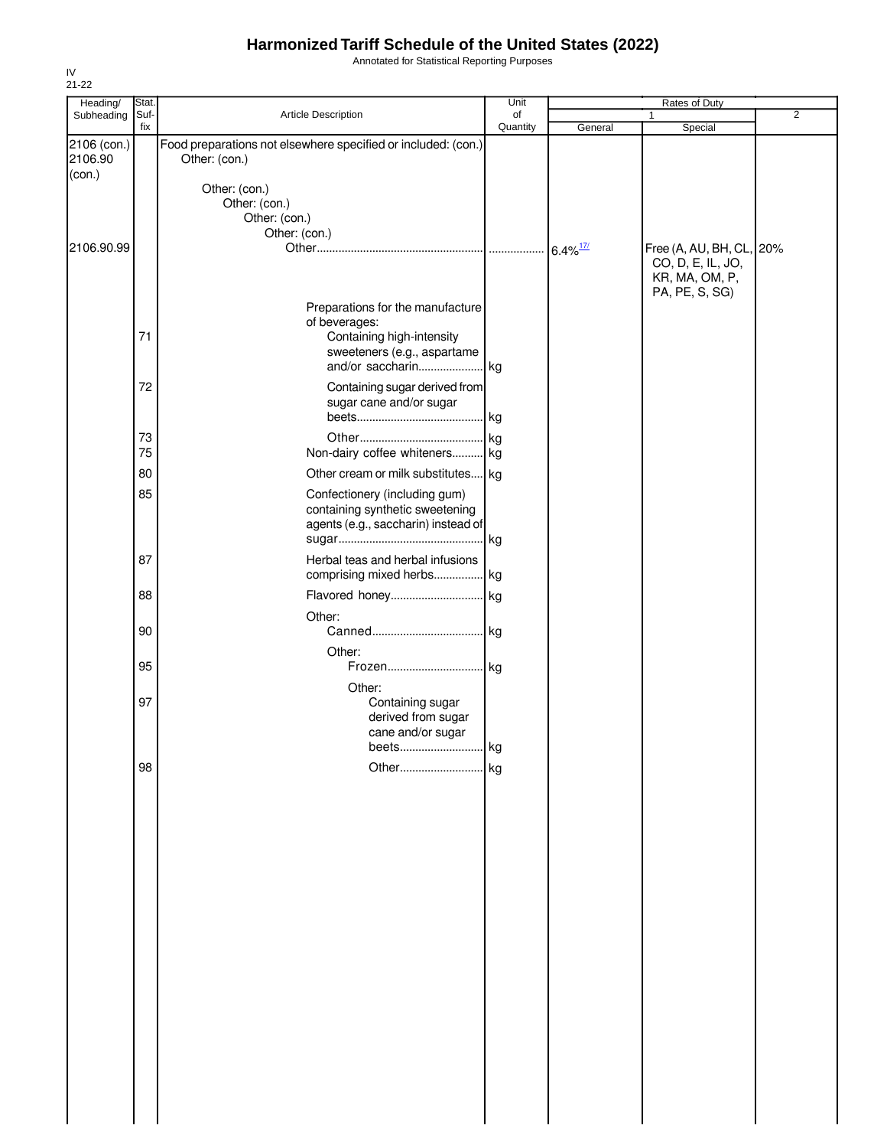Annotated for Statistical Reporting Purposes

| Heading/    | Stat.       |                                                               | Unit           |                        | Rates of Duty            |                |
|-------------|-------------|---------------------------------------------------------------|----------------|------------------------|--------------------------|----------------|
| Subheading  | Suf-<br>fix | Article Description                                           | of<br>Quantity | General                | $\mathbf{1}$<br>Special  | $\overline{2}$ |
| 2106 (con.) |             | Food preparations not elsewhere specified or included: (con.) |                |                        |                          |                |
| 2106.90     |             | Other: (con.)                                                 |                |                        |                          |                |
| (con.)      |             |                                                               |                |                        |                          |                |
|             |             | Other: (con.)                                                 |                |                        |                          |                |
|             |             | Other: (con.)                                                 |                |                        |                          |                |
|             |             | Other: (con.)                                                 |                |                        |                          |                |
|             |             | Other: (con.)                                                 |                |                        |                          |                |
| 2106.90.99  |             |                                                               |                | $6.4\%$ <sup>17/</sup> | Free (A, AU, BH, CL, 20% |                |
|             |             |                                                               |                |                        | CO, D, E, IL, JO,        |                |
|             |             |                                                               |                |                        | KR, MA, OM, P,           |                |
|             |             |                                                               |                |                        | PA, PE, S, SG)           |                |
|             |             | Preparations for the manufacture                              |                |                        |                          |                |
|             | 71          | of beverages:<br>Containing high-intensity                    |                |                        |                          |                |
|             |             | sweeteners (e.g., aspartame                                   |                |                        |                          |                |
|             |             |                                                               |                |                        |                          |                |
|             |             |                                                               |                |                        |                          |                |
|             | 72          | Containing sugar derived from                                 |                |                        |                          |                |
|             |             | sugar cane and/or sugar                                       |                |                        |                          |                |
|             |             |                                                               |                |                        |                          |                |
|             | 73          |                                                               |                |                        |                          |                |
|             | 75          | Non-dairy coffee whiteners kg                                 |                |                        |                          |                |
|             | 80          | Other cream or milk substitutes kg                            |                |                        |                          |                |
|             | 85          | Confectionery (including gum)                                 |                |                        |                          |                |
|             |             | containing synthetic sweetening                               |                |                        |                          |                |
|             |             | agents (e.g., saccharin) instead of                           |                |                        |                          |                |
|             |             |                                                               |                |                        |                          |                |
|             | 87          | Herbal teas and herbal infusions                              |                |                        |                          |                |
|             |             | comprising mixed herbs kg                                     |                |                        |                          |                |
|             |             |                                                               |                |                        |                          |                |
|             | 88          | Flavored honey kg                                             |                |                        |                          |                |
|             |             | Other:                                                        |                |                        |                          |                |
|             | 90          |                                                               |                |                        |                          |                |
|             |             | Other:                                                        |                |                        |                          |                |
|             | 95          | Frozen kg                                                     |                |                        |                          |                |
|             |             | Other:                                                        |                |                        |                          |                |
|             | 97          | Containing sugar                                              |                |                        |                          |                |
|             |             | derived from sugar                                            |                |                        |                          |                |
|             |             | cane and/or sugar                                             |                |                        |                          |                |
|             |             |                                                               |                |                        |                          |                |
|             | 98          |                                                               |                |                        |                          |                |
|             |             |                                                               |                |                        |                          |                |
|             |             |                                                               |                |                        |                          |                |
|             |             |                                                               |                |                        |                          |                |
|             |             |                                                               |                |                        |                          |                |
|             |             |                                                               |                |                        |                          |                |
|             |             |                                                               |                |                        |                          |                |
|             |             |                                                               |                |                        |                          |                |
|             |             |                                                               |                |                        |                          |                |
|             |             |                                                               |                |                        |                          |                |
|             |             |                                                               |                |                        |                          |                |
|             |             |                                                               |                |                        |                          |                |
|             |             |                                                               |                |                        |                          |                |
|             |             |                                                               |                |                        |                          |                |
|             |             |                                                               |                |                        |                          |                |
|             |             |                                                               |                |                        |                          |                |
|             |             |                                                               |                |                        |                          |                |
|             |             |                                                               |                |                        |                          |                |
|             |             |                                                               |                |                        |                          |                |
|             |             |                                                               |                |                        |                          |                |
|             |             |                                                               |                |                        |                          |                |
|             |             |                                                               |                |                        |                          |                |
|             |             |                                                               |                |                        |                          |                |